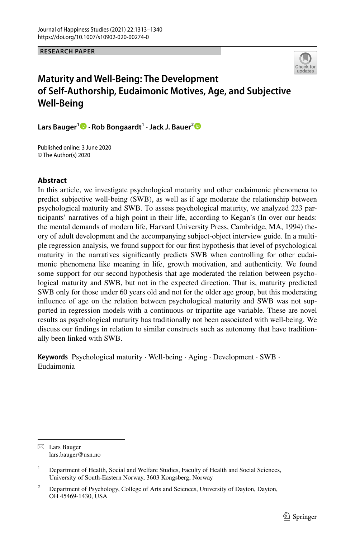**RESEARCH PAPER**



# **Maturity and Well‑Being: The Development of Self‑Authorship, Eudaimonic Motives, Age, and Subjective Well‑Being**

**Lars Bauger1 · Rob Bongaardt1 · Jack J. Bauer[2](http://orcid.org/0000-0003-2912-7980)**

Published online: 3 June 2020 © The Author(s) 2020

### **Abstract**

In this article, we investigate psychological maturity and other eudaimonic phenomena to predict subjective well-being (SWB), as well as if age moderate the relationship between psychological maturity and SWB. To assess psychological maturity, we analyzed 223 participants' narratives of a high point in their life, according to Kegan's (In over our heads: the mental demands of modern life, Harvard University Press, Cambridge, MA, 1994) theory of adult development and the accompanying subject-object interview guide. In a multiple regression analysis, we found support for our frst hypothesis that level of psychological maturity in the narratives signifcantly predicts SWB when controlling for other eudaimonic phenomena like meaning in life, growth motivation, and authenticity. We found some support for our second hypothesis that age moderated the relation between psychological maturity and SWB, but not in the expected direction. That is, maturity predicted SWB only for those under 60 years old and not for the older age group, but this moderating infuence of age on the relation between psychological maturity and SWB was not supported in regression models with a continuous or tripartite age variable. These are novel results as psychological maturity has traditionally not been associated with well-being. We discuss our fndings in relation to similar constructs such as autonomy that have traditionally been linked with SWB.

**Keywords** Psychological maturity · Well-being · Aging · Development · SWB · Eudaimonia

 $\boxtimes$  Lars Bauger lars.bauger@usn.no

<sup>&</sup>lt;sup>1</sup> Department of Health, Social and Welfare Studies, Faculty of Health and Social Sciences, University of South-Eastern Norway, 3603 Kongsberg, Norway

<sup>&</sup>lt;sup>2</sup> Department of Psychology, College of Arts and Sciences, University of Dayton, Dayton, OH 45469-1430, USA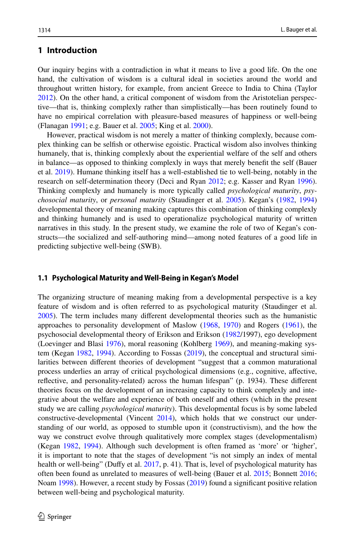### **1 Introduction**

Our inquiry begins with a contradiction in what it means to live a good life. On the one hand, the cultivation of wisdom is a cultural ideal in societies around the world and throughout written history, for example, from ancient Greece to India to China (Taylor [2012\)](#page-27-0). On the other hand, a critical component of wisdom from the Aristotelian perspective—that is, thinking complexly rather than simplistically—has been routinely found to have no empirical correlation with pleasure-based measures of happiness or well-being (Flanagan [1991](#page-25-0); e.g. Bauer et al. [2005;](#page-24-0) King et al. [2000](#page-26-0)).

However, practical wisdom is not merely a matter of thinking complexly, because complex thinking can be selfsh or otherwise egoistic. Practical wisdom also involves thinking humanely, that is, thinking complexly about the experiential welfare of the self and others in balance—as opposed to thinking complexly in ways that merely beneft the self (Bauer et al. [2019](#page-24-1)). Humane thinking itself has a well-established tie to well-being, notably in the research on self-determination theory (Deci and Ryan [2012](#page-25-1); e.g. Kasser and Ryan [1996](#page-25-2)). Thinking complexly and humanely is more typically called *psychological maturity*, *psychosocial maturity*, or *personal maturity* (Staudinger et al. [2005\)](#page-27-1). Kegan's [\(1982](#page-25-3), [1994](#page-25-4)) developmental theory of meaning making captures this combination of thinking complexly and thinking humanely and is used to operationalize psychological maturity of written narratives in this study. In the present study, we examine the role of two of Kegan's constructs—the socialized and self-authoring mind—among noted features of a good life in predicting subjective well-being (SWB).

#### **1.1 Psychological Maturity and Well‑Being in Kegan's Model**

The organizing structure of meaning making from a developmental perspective is a key feature of wisdom and is often referred to as psychological maturity (Staudinger et al. [2005\)](#page-27-1). The term includes many diferent developmental theories such as the humanistic approaches to personality development of Maslow [\(1968](#page-26-1), [1970](#page-26-2)) and Rogers ([1961\)](#page-27-2), the psychosocial developmental theory of Erikson and Erikson ([1982/](#page-25-5)1997), ego development (Loevinger and Blasi [1976](#page-26-3)), moral reasoning (Kohlberg [1969\)](#page-26-4), and meaning-making system (Kegan [1982,](#page-25-3) [1994\)](#page-25-4). According to Fossas [\(2019](#page-25-6)), the conceptual and structural similarities between diferent theories of development "suggest that a common maturational process underlies an array of critical psychological dimensions (e.g., cognitive, afective, refective, and personality-related) across the human lifespan" (p. 1934). These diferent theories focus on the development of an increasing capacity to think complexly and integrative about the welfare and experience of both oneself and others (which in the present study we are calling *psychological maturity*). This developmental focus is by some labeled constructive-developmental (Vincent [2014](#page-27-3)), which holds that we construct our understanding of our world, as opposed to stumble upon it (constructivism), and the how the way we construct evolve through qualitatively more complex stages (developmentalism) (Kegan [1982](#page-25-3), [1994](#page-25-4)). Although such development is often framed as 'more' or 'higher', it is important to note that the stages of development "is not simply an index of mental health or well-being" (Duffy et al. [2017](#page-25-7), p. 41). That is, level of psychological maturity has often been found as unrelated to measures of well-being (Bauer et al. [2015](#page-24-2); Bonnett [2016;](#page-24-3) Noam [1998](#page-26-5)). However, a recent study by Fossas [\(2019](#page-25-6)) found a significant positive relation between well-being and psychological maturity.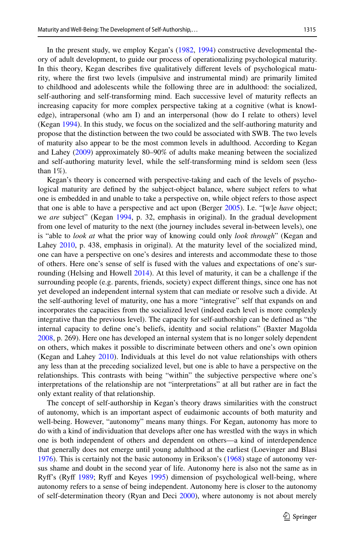In the present study, we employ Kegan's ([1982,](#page-25-3) [1994\)](#page-25-4) constructive developmental theory of adult development, to guide our process of operationalizing psychological maturity. In this theory, Kegan describes fve qualitatively diferent levels of psychological maturity, where the frst two levels (impulsive and instrumental mind) are primarily limited to childhood and adolescents while the following three are in adulthood: the socialized, self-authoring and self-transforming mind. Each successive level of maturity refects an increasing capacity for more complex perspective taking at a cognitive (what is knowledge), intrapersonal (who am I) and an interpersonal (how do I relate to others) level (Kegan [1994\)](#page-25-4). In this study, we focus on the socialized and the self-authoring maturity and propose that the distinction between the two could be associated with SWB. The two levels of maturity also appear to be the most common levels in adulthood. According to Kegan and Lahey [\(2009](#page-26-6)) approximately 80–90% of adults make meaning between the socialized and self-authoring maturity level, while the self-transforming mind is seldom seen (less than  $1\%$ ).

Kegan's theory is concerned with perspective-taking and each of the levels of psychological maturity are defned by the subject-object balance, where subject refers to what one is embedded in and unable to take a perspective on, while object refers to those aspect that one is able to have a perspective and act upon (Berger [2005](#page-24-4)). I.e. "[w]e *have* object; we *are* subject" (Kegan [1994,](#page-25-4) p. 32, emphasis in original). In the gradual development from one level of maturity to the next (the journey includes several in-between levels), one is "able to *look at* what the prior way of knowing could only *look through*" (Kegan and Lahey [2010,](#page-26-7) p. 438, emphasis in original). At the maturity level of the socialized mind, one can have a perspective on one's desires and interests and accommodate these to those of others. Here one's sense of self is fused with the values and expectations of one's sur-rounding (Helsing and Howell [2014](#page-25-8)). At this level of maturity, it can be a challenge if the surrounding people (e.g. parents, friends, society) expect diferent things, since one has not yet developed an independent internal system that can mediate or resolve such a divide. At the self-authoring level of maturity, one has a more "integrative" self that expands on and incorporates the capacities from the socialized level (indeed each level is more complexly integrative than the previous level). The capacity for self-authorship can be defned as "the internal capacity to defne one's beliefs, identity and social relations" (Baxter Magolda [2008,](#page-24-5) p. 269). Here one has developed an internal system that is no longer solely dependent on others, which makes it possible to discriminate between others and one's own opinion (Kegan and Lahey [2010\)](#page-26-7). Individuals at this level do not value relationships with others any less than at the preceding socialized level, but one is able to have a perspective on the relationships. This contrasts with being "within" the subjective perspective where one's interpretations of the relationship are not "interpretations" at all but rather are in fact the only extant reality of that relationship.

The concept of self-authorship in Kegan's theory draws similarities with the construct of autonomy, which is an important aspect of eudaimonic accounts of both maturity and well-being. However, "autonomy" means many things. For Kegan, autonomy has more to do with a kind of individuation that develops after one has wrestled with the ways in which one is both independent of others and dependent on others—a kind of interdependence that generally does not emerge until young adulthood at the earliest (Loevinger and Blasi [1976\)](#page-26-3). This is certainly not the basic autonomy in Erikson's [\(1968](#page-25-9)) stage of autonomy versus shame and doubt in the second year of life. Autonomy here is also not the same as in Ryff's (Ryff [1989;](#page-27-4) Ryff and Keyes [1995](#page-27-5)) dimension of psychological well-being, where autonomy refers to a sense of being independent. Autonomy here is closer to the autonomy of self-determination theory (Ryan and Deci [2000](#page-27-6)), where autonomy is not about merely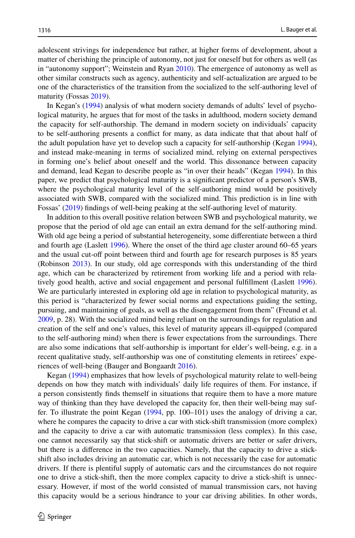adolescent strivings for independence but rather, at higher forms of development, about a matter of cherishing the principle of autonomy, not just for oneself but for others as well (as in "autonomy support"; Weinstein and Ryan [2010\)](#page-27-7). The emergence of autonomy as well as other similar constructs such as agency, authenticity and self-actualization are argued to be one of the characteristics of the transition from the socialized to the self-authoring level of maturity (Fossas [2019](#page-25-6)).

In Kegan's [\(1994](#page-25-4)) analysis of what modern society demands of adults' level of psychological maturity, he argues that for most of the tasks in adulthood, modern society demand the capacity for self-authorship. The demand in modern society on individuals' capacity to be self-authoring presents a confict for many, as data indicate that that about half of the adult population have yet to develop such a capacity for self-authorship (Kegan [1994](#page-25-4)), and instead make-meaning in terms of socialized mind, relying on external perspectives in forming one's belief about oneself and the world. This dissonance between capacity and demand, lead Kegan to describe people as "in over their heads" (Kegan [1994\)](#page-25-4). In this paper, we predict that psychological maturity is a signifcant predictor of a person's SWB, where the psychological maturity level of the self-authoring mind would be positively associated with SWB, compared with the socialized mind. This prediction is in line with Fossas' [\(2019](#page-25-6)) fndings of well-being peaking at the self-authoring level of maturity.

In addition to this overall positive relation between SWB and psychological maturity, we propose that the period of old age can entail an extra demand for the self-authoring mind. With old age being a period of substantial heterogeneity, some diferentiate between a third and fourth age (Laslett [1996](#page-26-8)). Where the onset of the third age cluster around 60–65 years and the usual cut-off point between third and fourth age for research purposes is 85 years (Robinson [2013\)](#page-26-9). In our study, old age corresponds with this understanding of the third age, which can be characterized by retirement from working life and a period with relatively good health, active and social engagement and personal fulfllment (Laslett [1996](#page-26-8)). We are particularly interested in exploring old age in relation to psychological maturity, as this period is "characterized by fewer social norms and expectations guiding the setting, pursuing, and maintaining of goals, as well as the disengagement from them" (Freund et al. [2009,](#page-25-10) p. 28). With the socialized mind being reliant on the surroundings for regulation and creation of the self and one's values, this level of maturity appears ill-equipped (compared to the self-authoring mind) when there is fewer expectations from the surroundings. There are also some indications that self-authorship is important for elder's well-being, e.g. in a recent qualitative study, self-authorship was one of constituting elements in retirees' experiences of well-being (Bauger and Bongaardt [2016](#page-24-6)).

Kegan [\(1994](#page-25-4)) emphasizes that how levels of psychological maturity relate to well-being depends on how they match with individuals' daily life requires of them. For instance, if a person consistently fnds themself in situations that require them to have a more mature way of thinking than they have developed the capacity for, then their well-being may suffer. To illustrate the point Kegan [\(1994](#page-25-4), pp. 100–101) uses the analogy of driving a car, where he compares the capacity to drive a car with stick-shift transmission (more complex) and the capacity to drive a car with automatic transmission (less complex). In this case, one cannot necessarily say that stick-shift or automatic drivers are better or safer drivers, but there is a diference in the two capacities. Namely, that the capacity to drive a stickshift also includes driving an automatic car, which is not necessarily the case for automatic drivers. If there is plentiful supply of automatic cars and the circumstances do not require one to drive a stick-shift, then the more complex capacity to drive a stick-shift is unnecessary. However, if most of the world consisted of manual transmission cars, not having this capacity would be a serious hindrance to your car driving abilities. In other words,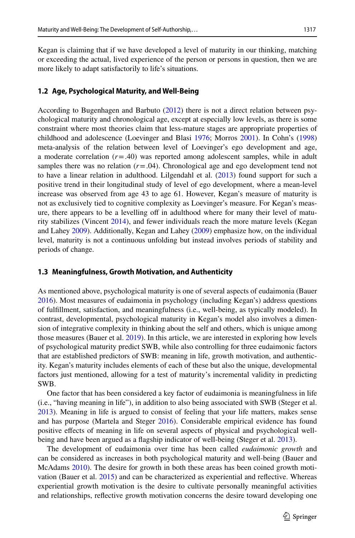Kegan is claiming that if we have developed a level of maturity in our thinking, matching or exceeding the actual, lived experience of the person or persons in question, then we are more likely to adapt satisfactorily to life's situations.

#### **1.2 Age, Psychological Maturity, and Well‑Being**

According to Bugenhagen and Barbuto ([2012\)](#page-24-7) there is not a direct relation between psychological maturity and chronological age, except at especially low levels, as there is some constraint where most theories claim that less-mature stages are appropriate properties of childhood and adolescence (Loevinger and Blasi [1976;](#page-26-3) Morros [2001\)](#page-26-10). In Cohn's [\(1998](#page-24-8)) meta-analysis of the relation between level of Loevinger's ego development and age, a moderate correlation (*r*=.40) was reported among adolescent samples, while in adult samples there was no relation  $(r=.04)$ . Chronological age and ego development tend not to have a linear relation in adulthood. Lilgendahl et al. ([2013\)](#page-26-11) found support for such a positive trend in their longitudinal study of level of ego development, where a mean-level increase was observed from age 43 to age 61. However, Kegan's measure of maturity is not as exclusively tied to cognitive complexity as Loevinger's measure. For Kegan's measure, there appears to be a levelling off in adulthood where for many their level of maturity stabilizes (Vincent [2014](#page-27-3)), and fewer individuals reach the more mature levels (Kegan and Lahey [2009\)](#page-26-6). Additionally, Kegan and Lahey [\(2009](#page-26-6)) emphasize how, on the individual level, maturity is not a continuous unfolding but instead involves periods of stability and periods of change.

#### **1.3 Meaningfulness, Growth Motivation, and Authenticity**

As mentioned above, psychological maturity is one of several aspects of eudaimonia (Bauer [2016\)](#page-24-9). Most measures of eudaimonia in psychology (including Kegan's) address questions of fulfllment, satisfaction, and meaningfulness (i.e., well-being, as typically modeled). In contrast, developmental, psychological maturity in Kegan's model also involves a dimension of integrative complexity in thinking about the self and others, which is unique among those measures (Bauer et al. [2019\)](#page-24-1). In this article, we are interested in exploring how levels of psychological maturity predict SWB, while also controlling for three eudaimonic factors that are established predictors of SWB: meaning in life, growth motivation, and authenticity. Kegan's maturity includes elements of each of these but also the unique, developmental factors just mentioned, allowing for a test of maturity's incremental validity in predicting SWB.

One factor that has been considered a key factor of eudaimonia is meaningfulness in life (i.e., "having meaning in life"), in addition to also being associated with SWB (Steger et al. [2013\)](#page-27-8). Meaning in life is argued to consist of feeling that your life matters, makes sense and has purpose (Martela and Steger [2016\)](#page-26-12). Considerable empirical evidence has found positive efects of meaning in life on several aspects of physical and psychological well-being and have been argued as a flagship indicator of well-being (Steger et al. [2013](#page-27-8)).

The development of eudaimonia over time has been called *eudaimonic growth* and can be considered as increases in both psychological maturity and well-being (Bauer and McAdams [2010](#page-24-10)). The desire for growth in both these areas has been coined growth motivation (Bauer et al. [2015\)](#page-24-2) and can be characterized as experiential and refective. Whereas experiential growth motivation is the desire to cultivate personally meaningful activities and relationships, refective growth motivation concerns the desire toward developing one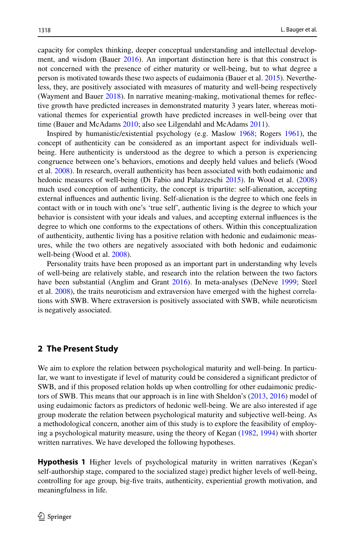capacity for complex thinking, deeper conceptual understanding and intellectual development, and wisdom (Bauer [2016\)](#page-24-9). An important distinction here is that this construct is not concerned with the presence of either maturity or well-being, but to what degree a person is motivated towards these two aspects of eudaimonia (Bauer et al. [2015](#page-24-2)). Nevertheless, they, are positively associated with measures of maturity and well-being respectively (Wayment and Bauer [2018\)](#page-27-9). In narrative meaning-making, motivational themes for refective growth have predicted increases in demonstrated maturity 3 years later, whereas motivational themes for experiential growth have predicted increases in well-being over that time (Bauer and McAdams [2010](#page-24-10); also see Lilgendahl and McAdams [2011\)](#page-26-13).

Inspired by humanistic/existential psychology (e.g. Maslow [1968](#page-26-1); Rogers [1961](#page-27-2)), the concept of authenticity can be considered as an important aspect for individuals wellbeing. Here authenticity is understood as the degree to which a person is experiencing congruence between one's behaviors, emotions and deeply held values and beliefs (Wood et al. [2008\)](#page-27-10). In research, overall authenticity has been associated with both eudaimonic and hedonic measures of well-being (Di Fabio and Palazzeschi [2015](#page-25-11)). In Wood et al. [\(2008](#page-27-10)) much used conception of authenticity, the concept is tripartite: self-alienation, accepting external infuences and authentic living. Self-alienation is the degree to which one feels in contact with or in touch with one's 'true self', authentic living is the degree to which your behavior is consistent with your ideals and values, and accepting external infuences is the degree to which one conforms to the expectations of others. Within this conceptualization of authenticity, authentic living has a positive relation with hedonic and eudaimonic measures, while the two others are negatively associated with both hedonic and eudaimonic well-being (Wood et al. [2008](#page-27-10)).

Personality traits have been proposed as an important part in understanding why levels of well-being are relatively stable, and research into the relation between the two factors have been substantial (Anglim and Grant [2016](#page-24-11)). In meta-analyses (DeNeve [1999](#page-25-12); Steel et al. [2008](#page-27-11)), the traits neuroticism and extraversion have emerged with the highest correlations with SWB. Where extraversion is positively associated with SWB, while neuroticism is negatively associated.

### **2 The Present Study**

We aim to explore the relation between psychological maturity and well-being. In particular, we want to investigate if level of maturity could be considered a signifcant predictor of SWB, and if this proposed relation holds up when controlling for other eudaimonic predictors of SWB. This means that our approach is in line with Sheldon's [\(2013](#page-27-12), [2016](#page-27-13)) model of using eudaimonic factors as predictors of hedonic well-being. We are also interested if age group moderate the relation between psychological maturity and subjective well-being. As a methodological concern, another aim of this study is to explore the feasibility of employing a psychological maturity measure, using the theory of Kegan [\(1982](#page-25-3), [1994](#page-25-4)) with shorter written narratives. We have developed the following hypotheses.

**Hypothesis 1** Higher levels of psychological maturity in written narratives (Kegan's self-authorship stage, compared to the socialized stage) predict higher levels of well-being, controlling for age group, big-fve traits, authenticity, experiential growth motivation, and meaningfulness in life.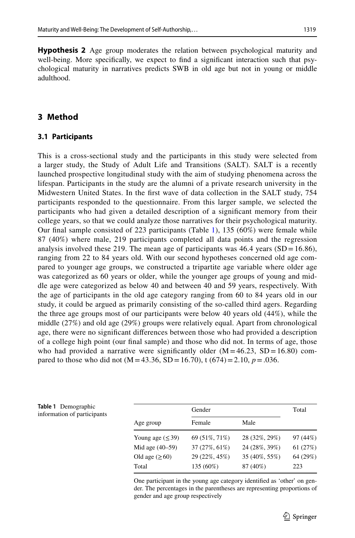**Hypothesis 2** Age group moderates the relation between psychological maturity and well-being. More specifcally, we expect to fnd a signifcant interaction such that psychological maturity in narratives predicts SWB in old age but not in young or middle adulthood.

## **3 Method**

#### **3.1 Participants**

This is a cross-sectional study and the participants in this study were selected from a larger study, the Study of Adult Life and Transitions (SALT). SALT is a recently launched prospective longitudinal study with the aim of studying phenomena across the lifespan. Participants in the study are the alumni of a private research university in the Midwestern United States. In the frst wave of data collection in the SALT study, 754 participants responded to the questionnaire. From this larger sample, we selected the participants who had given a detailed description of a signifcant memory from their college years, so that we could analyze those narratives for their psychological maturity. Our fnal sample consisted of 223 participants (Table [1\)](#page-6-0), 135 (60%) were female while 87 (40%) where male, 219 participants completed all data points and the regression analysis involved these 219. The mean age of participants was  $46.4$  years (SD = 16.86), ranging from 22 to 84 years old. With our second hypotheses concerned old age compared to younger age groups, we constructed a tripartite age variable where older age was categorized as 60 years or older, while the younger age groups of young and middle age were categorized as below 40 and between 40 and 59 years, respectively. With the age of participants in the old age category ranging from 60 to 84 years old in our study, it could be argued as primarily consisting of the so-called third agers. Regarding the three age groups most of our participants were below 40 years old (44%), while the middle (27%) and old age (29%) groups were relatively equal. Apart from chronological age, there were no signifcant diferences between those who had provided a description of a college high point (our fnal sample) and those who did not. In terms of age, those who had provided a narrative were significantly older  $(M = 46.23, SD = 16.80)$  compared to those who did not (M = 43.36, SD = 16.70), t (674) = 2.10,  $p = .036$ .

<span id="page-6-0"></span>

| Table 1 Demographic         |
|-----------------------------|
| information of participants |

|                       | Gender        |               | Total    |
|-----------------------|---------------|---------------|----------|
| Age group             | Female        | Male          |          |
| Young age $(\leq 39)$ | 69 (51%, 71%) | 28 (32%, 29%) | 97 (44%) |
| Mid age (40–59)       | 37 (27%, 61%) | 24 (28%, 39%) | 61(27%)  |
| Old age $(\geq 60)$   | 29 (22%, 45%) | 35 (40%, 55%) | 64 (29%) |
| Total                 | 135 (60%)     | 87 (40%)      | 223      |

One participant in the young age category identifed as 'other' on gender. The percentages in the parentheses are representing proportions of gender and age group respectively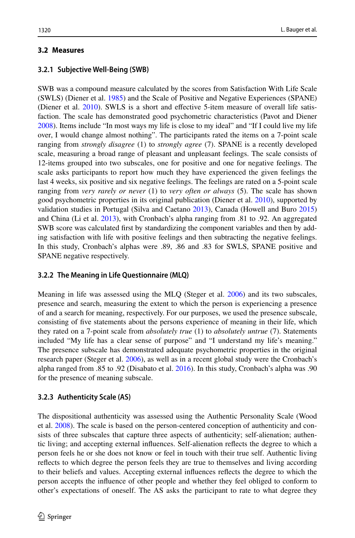# **3.2 Measures**

# **3.2.1 Subjective Well‑Being (SWB)**

SWB was a compound measure calculated by the scores from Satisfaction With Life Scale (SWLS) (Diener et al. [1985](#page-25-13)) and the Scale of Positive and Negative Experiences (SPANE) (Diener et al. [2010](#page-25-14)). SWLS is a short and efective 5-item measure of overall life satisfaction. The scale has demonstrated good psychometric characteristics (Pavot and Diener [2008\)](#page-26-14). Items include "In most ways my life is close to my ideal" and "If I could live my life over, I would change almost nothing". The participants rated the items on a 7-point scale ranging from *strongly disagree* (1) to *strongly agree* (7). SPANE is a recently developed scale, measuring a broad range of pleasant and unpleasant feelings. The scale consists of 12-items grouped into two subscales, one for positive and one for negative feelings. The scale asks participants to report how much they have experienced the given feelings the last 4 weeks, six positive and six negative feelings. The feelings are rated on a 5-point scale ranging from *very rarely or never* (1) to *very often or always* (5). The scale has shown good psychometric properties in its original publication (Diener et al. [2010\)](#page-25-14), supported by validation studies in Portugal (Silva and Caetano [2013\)](#page-27-14), Canada (Howell and Buro [2015](#page-25-15)) and China (Li et al. [2013](#page-26-15)), with Cronbach's alpha ranging from .81 to .92. An aggregated SWB score was calculated frst by standardizing the component variables and then by adding satisfaction with life with positive feelings and then subtracting the negative feelings. In this study, Cronbach's alphas were .89, .86 and .83 for SWLS, SPANE positive and SPANE negative respectively.

# **3.2.2 The Meaning in Life Questionnaire (MLQ)**

Meaning in life was assessed using the MLQ (Steger et al. [2006\)](#page-27-15) and its two subscales, presence and search, measuring the extent to which the person is experiencing a presence of and a search for meaning, respectively. For our purposes, we used the presence subscale, consisting of fve statements about the persons experience of meaning in their life, which they rated on a 7-point scale from *absolutely true* (1) to *absolutely untrue* (7). Statements included "My life has a clear sense of purpose" and "I understand my life's meaning." The presence subscale has demonstrated adequate psychometric properties in the original research paper (Steger et al. [2006\)](#page-27-15), as well as in a recent global study were the Cronbach's alpha ranged from .85 to .92 (Disabato et al. [2016](#page-25-16)). In this study, Cronbach's alpha was .90 for the presence of meaning subscale.

# **3.2.3 Authenticity Scale (AS)**

The dispositional authenticity was assessed using the Authentic Personality Scale (Wood et al. [2008](#page-27-10)). The scale is based on the person-centered conception of authenticity and consists of three subscales that capture three aspects of authenticity; self-alienation; authentic living; and accepting external infuences. Self-alienation refects the degree to which a person feels he or she does not know or feel in touch with their true self. Authentic living refects to which degree the person feels they are true to themselves and living according to their beliefs and values. Accepting external infuences refects the degree to which the person accepts the infuence of other people and whether they feel obliged to conform to other's expectations of oneself. The AS asks the participant to rate to what degree they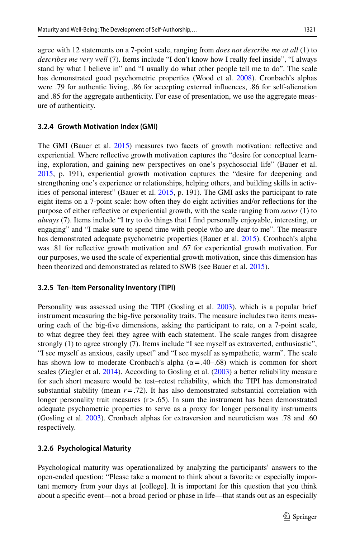agree with 12 statements on a 7-point scale, ranging from *does not describe me at all* (1) to *describes me very well* (7). Items include "I don't know how I really feel inside", "I always stand by what I believe in" and "I usually do what other people tell me to do". The scale has demonstrated good psychometric properties (Wood et al. [2008\)](#page-27-10). Cronbach's alphas were .79 for authentic living, .86 for accepting external infuences, .86 for self-alienation and .85 for the aggregate authenticity. For ease of presentation, we use the aggregate measure of authenticity.

#### **3.2.4 Growth Motivation Index (GMI)**

The GMI (Bauer et al. [2015](#page-24-2)) measures two facets of growth motivation: refective and experiential. Where refective growth motivation captures the "desire for conceptual learning, exploration, and gaining new perspectives on one's psychosocial life" (Bauer et al. [2015,](#page-24-2) p. 191), experiential growth motivation captures the "desire for deepening and strengthening one's experience or relationships, helping others, and building skills in activities of personal interest" (Bauer et al. [2015,](#page-24-2) p. 191). The GMI asks the participant to rate eight items on a 7-point scale: how often they do eight activities and/or refections for the purpose of either refective or experiential growth, with the scale ranging from *never* (1) to *always* (7). Items include "I try to do things that I fnd personally enjoyable, interesting, or engaging" and "I make sure to spend time with people who are dear to me". The measure has demonstrated adequate psychometric properties (Bauer et al. [2015\)](#page-24-2). Cronbach's alpha was .81 for refective growth motivation and .67 for experiential growth motivation. For our purposes, we used the scale of experiential growth motivation, since this dimension has been theorized and demonstrated as related to SWB (see Bauer et al. [2015](#page-24-2)).

#### **3.2.5 Ten‑Item Personality Inventory (TIPI)**

Personality was assessed using the TIPI (Gosling et al. [2003\)](#page-25-17), which is a popular brief instrument measuring the big-fve personality traits. The measure includes two items measuring each of the big-fve dimensions, asking the participant to rate, on a 7-point scale, to what degree they feel they agree with each statement. The scale ranges from disagree strongly (1) to agree strongly (7). Items include "I see myself as extraverted, enthusiastic", "I see myself as anxious, easily upset" and "I see myself as sympathetic, warm". The scale has shown low to moderate Cronbach's alpha ( $\alpha$  = .40–.68) which is common for short scales (Ziegler et al. [2014](#page-27-16)). According to Gosling et al. ([2003\)](#page-25-17) a better reliability measure for such short measure would be test–retest reliability, which the TIPI has demonstrated substantial stability (mean  $r = .72$ ). It has also demonstrated substantial correlation with longer personality trait measures  $(r > .65)$ . In sum the instrument has been demonstrated adequate psychometric properties to serve as a proxy for longer personality instruments (Gosling et al. [2003](#page-25-17)). Cronbach alphas for extraversion and neuroticism was .78 and .60 respectively.

### **3.2.6 Psychological Maturity**

Psychological maturity was operationalized by analyzing the participants' answers to the open-ended question: "Please take a moment to think about a favorite or especially important memory from your days at [college]. It is important for this question that you think about a specifc event—not a broad period or phase in life—that stands out as an especially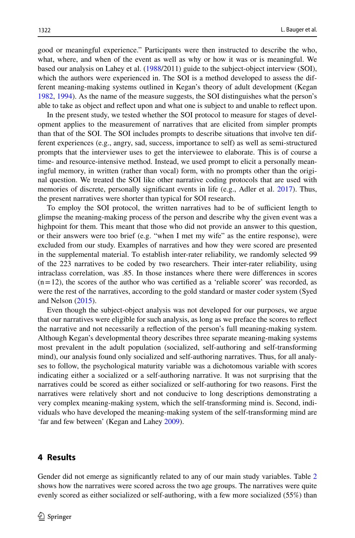good or meaningful experience." Participants were then instructed to describe the who, what, where, and when of the event as well as why or how it was or is meaningful. We based our analysis on Lahey et al. ([1988/](#page-26-16)2011) guide to the subject-object interview (SOI), which the authors were experienced in. The SOI is a method developed to assess the different meaning-making systems outlined in Kegan's theory of adult development (Kegan [1982,](#page-25-3) [1994\)](#page-25-4). As the name of the measure suggests, the SOI distinguishes what the person's able to take as object and refect upon and what one is subject to and unable to refect upon.

In the present study, we tested whether the SOI protocol to measure for stages of development applies to the measurement of narratives that are elicited from simpler prompts than that of the SOI. The SOI includes prompts to describe situations that involve ten different experiences (e.g., angry, sad, success, importance to self) as well as semi-structured prompts that the interviewer uses to get the interviewee to elaborate. This is of course a time- and resource-intensive method. Instead, we used prompt to elicit a personally meaningful memory, in written (rather than vocal) form, with no prompts other than the original question. We treated the SOI like other narrative coding protocols that are used with memories of discrete, personally significant events in life (e.g., Adler et al. [2017](#page-24-12)). Thus, the present narratives were shorter than typical for SOI research.

To employ the SOI protocol, the written narratives had to be of sufficient length to glimpse the meaning-making process of the person and describe why the given event was a highpoint for them. This meant that those who did not provide an answer to this question, or their answers were too brief (e.g. "when I met my wife" as the entire response), were excluded from our study. Examples of narratives and how they were scored are presented in the supplemental material. To establish inter-rater reliability, we randomly selected 99 of the 223 narratives to be coded by two researchers. Their inter-rater reliability, using intraclass correlation, was .85. In those instances where there were diferences in scores  $(n=12)$ , the scores of the author who was certified as a 'reliable scorer' was recorded, as were the rest of the narratives, according to the gold standard or master coder system (Syed and Nelson [\(2015](#page-27-17)).

Even though the subject-object analysis was not developed for our purposes, we argue that our narratives were eligible for such analysis, as long as we preface the scores to refect the narrative and not necessarily a refection of the person's full meaning-making system. Although Kegan's developmental theory describes three separate meaning-making systems most prevalent in the adult population (socialized, self-authoring and self-transforming mind), our analysis found only socialized and self-authoring narratives. Thus, for all analyses to follow, the psychological maturity variable was a dichotomous variable with scores indicating either a socialized or a self-authoring narrative. It was not surprising that the narratives could be scored as either socialized or self-authoring for two reasons. First the narratives were relatively short and not conducive to long descriptions demonstrating a very complex meaning-making system, which the self-transforming mind is. Second, individuals who have developed the meaning-making system of the self-transforming mind are 'far and few between' (Kegan and Lahey [2009](#page-26-6)).

### **4 Results**

Gender did not emerge as significantly related to any of our main study variables. Table [2](#page-10-0) shows how the narratives were scored across the two age groups. The narratives were quite evenly scored as either socialized or self-authoring, with a few more socialized (55%) than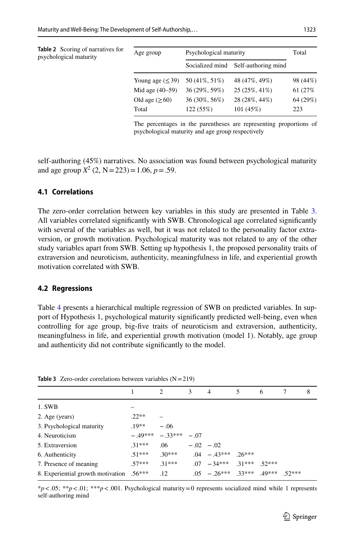<span id="page-10-0"></span>

| <b>Table 2</b> Scoring of narratives for<br>psychological maturity | Age group             | Psychological maturity |                     | Total    |
|--------------------------------------------------------------------|-----------------------|------------------------|---------------------|----------|
|                                                                    |                       | Socialized mind        | Self-authoring mind |          |
|                                                                    | Young age $(\leq 39)$ | 50 (41\%, 51\%)        | 48 (47%, 49%)       | 98 (44%) |
|                                                                    | Mid age $(40-59)$     | 36 (29%, 59%)          | 25 (25%, 41%)       | 61 (27%) |
|                                                                    | Old age $(≥60)$       | 36 (30%, 56%)          | 28 (28%, 44%)       | 64 (29%) |
|                                                                    | Total                 | 122(55%)               | 101 (45%)           | 223      |

The percentages in the parentheses are representing proportions of psychological maturity and age group respectively

self-authoring (45%) narratives. No association was found between psychological maturity and age group  $X^2$  (2, N = 223) = 1.06,  $p = .59$ .

### **4.1 Correlations**

The zero-order correlation between key variables in this study are presented in Table [3](#page-10-1). All variables correlated signifcantly with SWB. Chronological age correlated signifcantly with several of the variables as well, but it was not related to the personality factor extraversion, or growth motivation. Psychological maturity was not related to any of the other study variables apart from SWB. Setting up hypothesis 1, the proposed personality traits of extraversion and neuroticism, authenticity, meaningfulness in life, and experiential growth motivation correlated with SWB.

#### **4.2 Regressions**

Table [4](#page-11-0) presents a hierarchical multiple regression of SWB on predicted variables. In support of Hypothesis 1, psychological maturity signifcantly predicted well-being, even when controlling for age group, big-fve traits of neuroticism and extraversion, authenticity, meaningfulness in life, and experiential growth motivation (model 1). Notably, age group and authenticity did not contribute signifcantly to the model.

| <b>Table 5</b> Zero-order correlations between variables $(N = 219)$ |         |                   |               |                                  |   |   |         |   |
|----------------------------------------------------------------------|---------|-------------------|---------------|----------------------------------|---|---|---------|---|
|                                                                      |         | $\mathfrak{D}$    | $\mathcal{L}$ | $\overline{4}$                   | 5 | 6 |         | 8 |
| 1. SWB                                                               |         |                   |               |                                  |   |   |         |   |
| 2. Age (years)                                                       | $22**$  |                   |               |                                  |   |   |         |   |
| 3. Psychological maturity                                            | $.19**$ | $-.06$            |               |                                  |   |   |         |   |
| 4. Neuroticism                                                       |         | $-49***$ $-33***$ | $-07$         |                                  |   |   |         |   |
| 5. Extraversion                                                      | $31***$ | .06               | $-.02 - .02$  |                                  |   |   |         |   |
| 6. Authenticity                                                      | $51***$ | $.30***$          |               | $.04 - 43***$ $.26***$           |   |   |         |   |
| 7. Presence of meaning                                               | $57***$ | $31***$           |               | $.07 - 34***$ $.31***$ $.52***$  |   |   |         |   |
| 8. Experiential growth motivation .56***                             |         | .12               |               | $.05 - .26***$ $.33***$ $.49***$ |   |   | $52***$ |   |

<span id="page-10-1"></span>**Table 3** Zero-order correlations between variables (N=219)

\**p*<.05; \*\**p*<.01; \*\*\**p*<.001. Psychological maturity=0 represents socialized mind while 1 represents self-authoring mind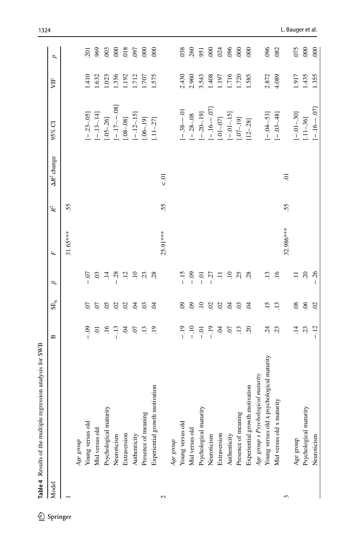<span id="page-11-0"></span>

| Model |                                           | $\mathbf{\Omega}$     | SE <sub>b</sub> | ρ                   | Ь,        | $\mathbb{R}^2$ | $\Delta R^2$ change | 95% CI           | 月     | d                |
|-------|-------------------------------------------|-----------------------|-----------------|---------------------|-----------|----------------|---------------------|------------------|-------|------------------|
|       |                                           |                       |                 |                     | 31.65***  | 55             |                     |                  |       |                  |
|       | Age group                                 |                       |                 |                     |           |                |                     |                  |       |                  |
|       | Young versus old                          | $-0.9$                | S.              | $-0$                |           |                |                     | $[-23 - 05]$     | 1.410 | $\overline{201}$ |
|       | Mid versus old                            | Ξ.                    | CO.             | $\ddot{\mathrm{c}}$ |           |                |                     | $[-13 - 14]$     | 1.632 | 969              |
|       | Psychological maturity                    | $\overline{.16}$      | 65              | $\ddot{=}$          |           |                |                     | $[0.5 - 26]$     | 1.023 | $\overline{003}$ |
|       | Neuroticism                               | $-13$                 | $\mathcal{L}$   | $-0.28$             |           |                |                     | $[-.17 - -0.08]$ | 1.356 | $\infty$         |
|       | Extraversion                              | Ŕ                     | $\mathcal{L}$   | $\ddot{12}$         |           |                |                     | $[.08-.08]$      | 1.192 | 018              |
|       | Authenticity                              | $\boldsymbol{\Omega}$ | $\mathfrak{S}$  | $\overline{10}$     |           |                |                     | $[-.12 - 15]$    | 1.712 | <b>C60</b>       |
|       | Presence of meaning                       | $\ddot{13}$           | $\overline{0}$  | 23                  |           |                |                     | $[.06 - 19]$     | 1.707 | $8^{\circ}$      |
|       | Experiential growth motivation            | $\overline{19}$       | $\mathfrak{S}$  | 28                  |           |                |                     | $[.11 - .27]$    | 1.575 | $\overline{0}$   |
| 2     |                                           |                       |                 |                     | 25.91 *** | 55.            | $\frac{1}{2}$       |                  |       |                  |
|       | Age group                                 |                       |                 |                     |           |                |                     |                  |       |                  |
|       | Young versus old                          | $-19$                 | $\mathbf{e}$    | $-15$               |           |                |                     | $[-.38 - 0.01]$  | 2.430 | 038              |
|       | Mid versus old                            | $-10$                 | $\Theta$        | $-0.9$              |           |                |                     | $[-.28-.08]$     | 2.960 | .260             |
|       | Psychological maturity                    | $-0.01$               | $\overline{10}$ | $-0$                |           |                |                     | $[-.20 - 19]$    | 3.543 | 951              |
|       | Neuroticism                               | $-19$                 | $\mathcal{L}$   | $-27$               |           |                |                     | $[-16 - 07]$     | 1.408 | $8^{\circ}$      |
|       | Extraversion                              | Ŕ                     | $\mathcal{L}$   | Ξ                   |           |                |                     | $[.01 - .07]$    | 1.197 | 024              |
|       | Authenticity                              | $\dot{\omega}$        | $\mathfrak{S}$  | $\Xi$               |           |                |                     | $[-.01 - 15]$    | 1.716 | 096              |
|       | Presence of meaning                       | $\overline{.13}$      | 0 <sup>3</sup>  | 25                  |           |                |                     | $[.07 - 19]$     | 1.720 | $8^{\circ}$      |
|       | Experiential growth motivation            | $\tilde{\mathcal{L}}$ | $\tilde{q}$     | 28                  |           |                |                     | $[12 - .28]$     | 1.585 | $\overline{0}0$  |
|       | Age group x Psychological maturity        |                       |                 |                     |           |                |                     |                  |       |                  |
|       | Young versus old x psychological maturity | $\ddot{5}$            | $\overline{15}$ | $\overline{13}$     |           |                |                     | $[-.04 - 53]$    | 2.872 | 096              |
|       | Mid versus old x maturity                 | 23                    | $\overline{13}$ | .16                 |           |                |                     | $[-03 - 48]$     | 4.089 | .082             |
| 3     |                                           |                       |                 |                     | 32.986*** | 55             | Ξ.                  |                  |       |                  |
|       | Age group                                 | $\vec{a}$             | $\overline{0}$  | Ξ                   |           |                |                     | $[-.01 - 30]$    | 1.917 | 075              |
|       | Psychological maturity                    | $\ddot{\rm S}$        | 66              | $\sim$              |           |                |                     | $[.11 - .36]$    | 1.435 | 000              |
|       | Neuroticism                               | $-12$                 | $\overline{c}$  | $-26$               |           |                |                     | $[-.16 - .07]$   | 1.355 | $\overline{000}$ |

1324 L. Bauger et al.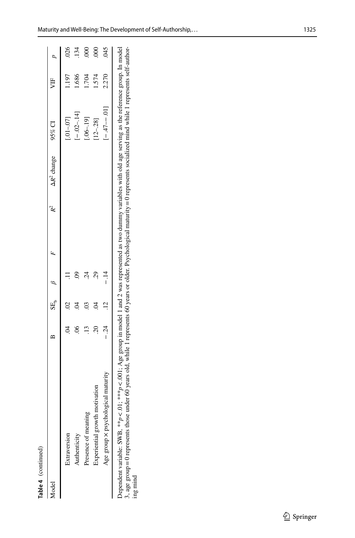| Aodel                                     | ≏     | $SE_b$ $\beta$ |            |  | $\Delta R^2$ change 95% CI |                | УF    |                  |
|-------------------------------------------|-------|----------------|------------|--|----------------------------|----------------|-------|------------------|
| Extraversion                              |       |                |            |  |                            | $[0.1 - 0.07]$ | 1.197 | .026             |
| Authenticity                              |       |                |            |  |                            | $[-.02 - 14]$  | 1.686 | 134              |
| Presence of meaning                       |       |                | $\ddot{c}$ |  |                            | $[06 - 19]$    | 1.704 | $\overline{000}$ |
| Experiential growth motivation            | ମ୍    |                | 29         |  |                            | $[12 - 28]$    | 1.574 | $\approx$        |
| Age group $\times$ psychological maturity | $-24$ |                |            |  |                            | $[-47 - 0.01]$ | 2.270 | <b>STO</b>       |

Dependent variable: SWB, \*\**p* < .01; \*\*\**p* < .001; Age group in model 1 and 2 was represented as two dummy variables with old age serving as the reference group. In model 3, age group=0 represents those under 60 years old, while 1 represents 60 years or older. Psychological maturity=0 represents socialized mind while 1 represents self-author-Dependent variable: SWB,  $*^*p < 0$ .  $*^*p < 0$ . Age group in model 1 and 2 was represented as two dummy variables with old age serving as the reference group. In model 3, age group = 0 represents those under 60 years old,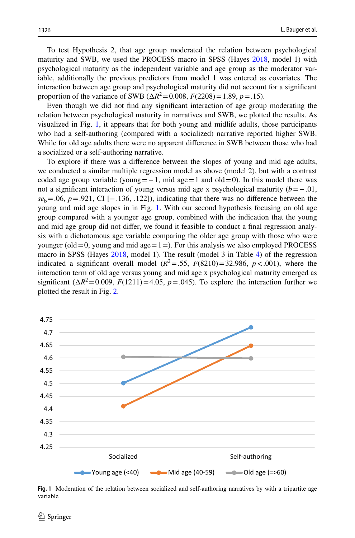To test Hypothesis 2, that age group moderated the relation between psychological maturity and SWB, we used the PROCESS macro in SPSS (Hayes [2018](#page-25-18), model 1) with psychological maturity as the independent variable and age group as the moderator variable, additionally the previous predictors from model 1 was entered as covariates. The interaction between age group and psychological maturity did not account for a signifcant proportion of the variance of SWB ( $\Delta R^2 = 0.008$ ,  $F(2208) = 1.89$ ,  $p = .15$ ).

Even though we did not fnd any signifcant interaction of age group moderating the relation between psychological maturity in narratives and SWB, we plotted the results. As visualized in Fig. [1,](#page-13-0) it appears that for both young and midlife adults, those participants who had a self-authoring (compared with a socialized) narrative reported higher SWB. While for old age adults there were no apparent diference in SWB between those who had a socialized or a self-authoring narrative.

To explore if there was a diference between the slopes of young and mid age adults, we conducted a similar multiple regression model as above (model 2), but with a contrast coded age group variable (young=−1, mid age=1 and old=0). In this model there was not a signifcant interaction of young versus mid age x psychological maturity (*b*=−.01,  $se<sub>b</sub> = .06$ ,  $p = .921$ , CI [−.136, .122]), indicating that there was no difference between the young and mid age slopes in in Fig. [1](#page-13-0). With our second hypothesis focusing on old age group compared with a younger age group, combined with the indication that the young and mid age group did not difer, we found it feasible to conduct a fnal regression analysis with a dichotomous age variable comparing the older age group with those who were younger (old  $=0$ , young and mid age  $=1=$ ). For this analysis we also employed PROCESS macro in SPSS (Hayes [2018,](#page-25-18) model 1). The result (model 3 in Table [4\)](#page-11-0) of the regression indicated a significant overall model  $(R^2 = .55, F(8210) = 32.986, p < .001)$ , where the interaction term of old age versus young and mid age x psychological maturity emerged as significant  $(\Delta R^2 = 0.009, F(1211) = 4.05, p = .045)$ . To explore the interaction further we plotted the result in Fig. [2.](#page-14-0)



<span id="page-13-0"></span>**Fig. 1** Moderation of the relation between socialized and self-authoring narratives by with a tripartite age variable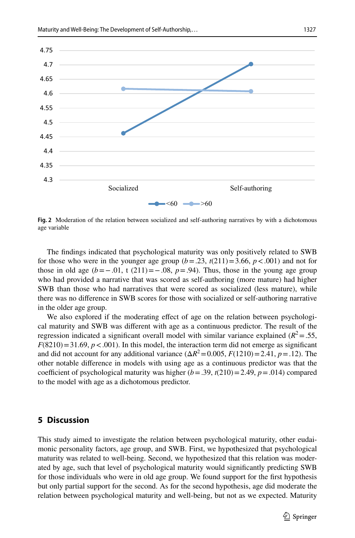

<span id="page-14-0"></span>**Fig. 2** Moderation of the relation between socialized and self-authoring narratives by with a dichotomous age variable

The fndings indicated that psychological maturity was only positively related to SWB for those who were in the younger age group  $(b=.23, t(211)=3.66, p<.001)$  and not for those in old age  $(b=-.01, t (211)=-.08, p=.94)$ . Thus, those in the young age group who had provided a narrative that was scored as self-authoring (more mature) had higher SWB than those who had narratives that were scored as socialized (less mature), while there was no diference in SWB scores for those with socialized or self-authoring narrative in the older age group.

We also explored if the moderating effect of age on the relation between psychological maturity and SWB was diferent with age as a continuous predictor. The result of the regression indicated a significant overall model with similar variance explained ( $R^2 = .55$ ,  $F(8210) = 31.69$ ,  $p < .001$ ). In this model, the interaction term did not emerge as significant and did not account for any additional variance  $(\Delta R^2 = 0.005, F(1210) = 2.41, p = .12)$ . The other notable diference in models with using age as a continuous predictor was that the coefficient of psychological maturity was higher  $(b = .39, t(210) = 2.49, p = .014)$  compared to the model with age as a dichotomous predictor.

# **5 Discussion**

This study aimed to investigate the relation between psychological maturity, other eudaimonic personality factors, age group, and SWB. First, we hypothesized that psychological maturity was related to well-being. Second, we hypothesized that this relation was moderated by age, such that level of psychological maturity would signifcantly predicting SWB for those individuals who were in old age group. We found support for the frst hypothesis but only partial support for the second. As for the second hypothesis, age did moderate the relation between psychological maturity and well-being, but not as we expected. Maturity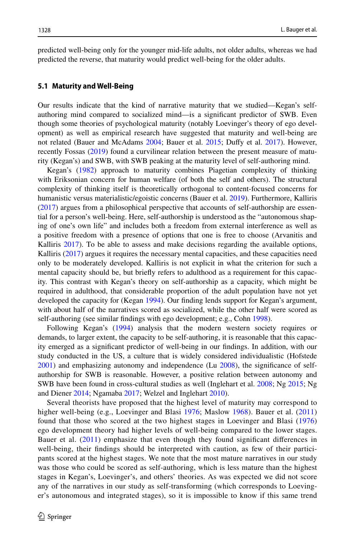predicted well-being only for the younger mid-life adults, not older adults, whereas we had predicted the reverse, that maturity would predict well-being for the older adults.

#### **5.1 Maturity and Well‑Being**

Our results indicate that the kind of narrative maturity that we studied—Kegan's selfauthoring mind compared to socialized mind—is a signifcant predictor of SWB. Even though some theories of psychological maturity (notably Loevinger's theory of ego development) as well as empirical research have suggested that maturity and well-being are not related (Bauer and McAdams [2004;](#page-24-13) Bauer et al. [2015;](#page-24-2) Dufy et al. [2017](#page-25-7)). However, recently Fossas ([2019\)](#page-25-6) found a curvilinear relation between the present measure of maturity (Kegan's) and SWB, with SWB peaking at the maturity level of self-authoring mind.

Kegan's [\(1982](#page-25-3)) approach to maturity combines Piagetian complexity of thinking with Eriksonian concern for human welfare (of both the self and others). The structural complexity of thinking itself is theoretically orthogonal to content-focused concerns for humanistic versus materialistic/egoistic concerns (Bauer et al. [2019](#page-24-1)). Furthermore, Kalliris ([2017\)](#page-25-19) argues from a philosophical perspective that accounts of self-authorship are essential for a person's well-being. Here, self-authorship is understood as the "autonomous shaping of one's own life" and includes both a freedom from external interference as well as a positive freedom with a presence of options that one is free to choose (Arvanitis and Kalliris [2017\)](#page-24-14). To be able to assess and make decisions regarding the available options, Kalliris ([2017\)](#page-25-19) argues it requires the necessary mental capacities, and these capacities need only to be moderately developed. Kalliris is not explicit in what the criterion for such a mental capacity should be, but briefy refers to adulthood as a requirement for this capacity. This contrast with Kegan's theory on self-authorship as a capacity, which might be required in adulthood, that considerable proportion of the adult population have not yet developed the capacity for (Kegan [1994](#page-25-4)). Our finding lends support for Kegan's argument, with about half of the narratives scored as socialized, while the other half were scored as self-authoring (see similar fndings with ego development; e.g., Cohn [1998\)](#page-24-8).

Following Kegan's ([1994\)](#page-25-4) analysis that the modern western society requires or demands, to larger extent, the capacity to be self-authoring, it is reasonable that this capacity emerged as a signifcant predictor of well-being in our fndings. In addition, with our study conducted in the US, a culture that is widely considered individualistic (Hofstede [2001\)](#page-25-20) and emphasizing autonomy and independence (Lu [2008](#page-26-17)), the signifcance of selfauthorship for SWB is reasonable. However, a positive relation between autonomy and SWB have been found in cross-cultural studies as well (Inglehart et al. [2008](#page-25-21); Ng [2015;](#page-26-18) Ng and Diener [2014](#page-26-19); Ngamaba [2017;](#page-26-20) Welzel and Inglehart [2010](#page-27-18)).

Several theorists have proposed that the highest level of maturity may correspond to higher well-being (e.g., Loevinger and Blasi [1976](#page-26-3); Maslow [1968\)](#page-26-1). Bauer et al. ([2011](#page-24-15)) found that those who scored at the two highest stages in Loevinger and Blasi ([1976](#page-26-3)) ego development theory had higher levels of well-being compared to the lower stages. Bauer et al. ([2011\)](#page-24-15) emphasize that even though they found signifcant diferences in well-being, their fndings should be interpreted with caution, as few of their participants scored at the highest stages. We note that the most mature narratives in our study was those who could be scored as self-authoring, which is less mature than the highest stages in Kegan's, Loevinger's, and others' theories. As was expected we did not score any of the narratives in our study as self-transforming (which corresponds to Loevinger's autonomous and integrated stages), so it is impossible to know if this same trend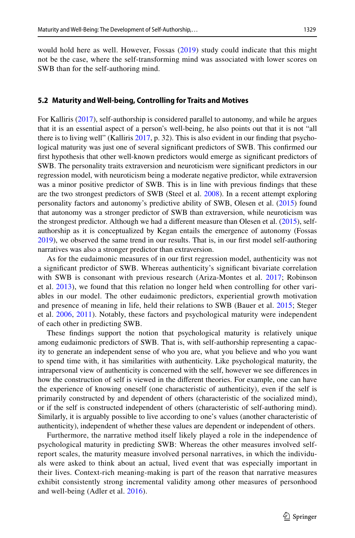would hold here as well. However, Fossas [\(2019\)](#page-25-6) study could indicate that this might not be the case, where the self-transforming mind was associated with lower scores on SWB than for the self-authoring mind.

#### **5.2 Maturity and Well‑being, Controlling for Traits and Motives**

For Kalliris [\(2017](#page-25-19)), self-authorship is considered parallel to autonomy, and while he argues that it is an essential aspect of a person's well-being, he also points out that it is not "all there is to living well" (Kalliris [2017](#page-25-19), p. 32). This is also evident in our fnding that psychological maturity was just one of several signifcant predictors of SWB. This confrmed our frst hypothesis that other well-known predictors would emerge as signifcant predictors of SWB. The personality traits extraversion and neuroticism were signifcant predictors in our regression model, with neuroticism being a moderate negative predictor, while extraversion was a minor positive predictor of SWB. This is in line with previous fndings that these are the two strongest predictors of SWB (Steel et al. [2008\)](#page-27-11). In a recent attempt exploring personality factors and autonomy's predictive ability of SWB, Olesen et al. [\(2015](#page-26-21)) found that autonomy was a stronger predictor of SWB than extraversion, while neuroticism was the strongest predictor. Although we had a diferent measure than Olesen et al. ([2015\)](#page-26-21), selfauthorship as it is conceptualized by Kegan entails the emergence of autonomy (Fossas [2019\)](#page-25-6), we observed the same trend in our results. That is, in our frst model self-authoring narratives was also a stronger predictor than extraversion.

As for the eudaimonic measures of in our frst regression model, authenticity was not a signifcant predictor of SWB. Whereas authenticity's signifcant bivariate correlation with SWB is consonant with previous research (Ariza-Montes et al. [2017;](#page-24-16) Robinson et al. [2013](#page-27-19)), we found that this relation no longer held when controlling for other variables in our model. The other eudaimonic predictors, experiential growth motivation and presence of meaning in life, held their relations to SWB (Bauer et al. [2015](#page-24-2); Steger et al. [2006](#page-27-15), [2011](#page-27-20)). Notably, these factors and psychological maturity were independent of each other in predicting SWB.

These fndings support the notion that psychological maturity is relatively unique among eudaimonic predictors of SWB. That is, with self-authorship representing a capacity to generate an independent sense of who you are, what you believe and who you want to spend time with, it has similarities with authenticity. Like psychological maturity, the intrapersonal view of authenticity is concerned with the self, however we see diferences in how the construction of self is viewed in the diferent theories. For example, one can have the experience of knowing oneself (one characteristic of authenticity), even if the self is primarily constructed by and dependent of others (characteristic of the socialized mind), or if the self is constructed independent of others (characteristic of self-authoring mind). Similarly, it is arguably possible to live according to one's values (another characteristic of authenticity), independent of whether these values are dependent or independent of others.

Furthermore, the narrative method itself likely played a role in the independence of psychological maturity in predicting SWB: Whereas the other measures involved selfreport scales, the maturity measure involved personal narratives, in which the individuals were asked to think about an actual, lived event that was especially important in their lives. Context-rich meaning-making is part of the reason that narrative measures exhibit consistently strong incremental validity among other measures of personhood and well-being (Adler et al. [2016\)](#page-24-17).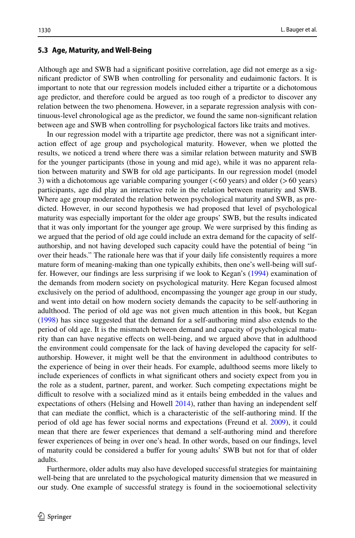#### **5.3 Age, Maturity, and Well‑Being**

Although age and SWB had a signifcant positive correlation, age did not emerge as a signifcant predictor of SWB when controlling for personality and eudaimonic factors. It is important to note that our regression models included either a tripartite or a dichotomous age predictor, and therefore could be argued as too rough of a predictor to discover any relation between the two phenomena. However, in a separate regression analysis with continuous-level chronological age as the predictor, we found the same non-signifcant relation between age and SWB when controlling for psychological factors like traits and motives.

In our regression model with a tripartite age predictor, there was not a signifcant interaction efect of age group and psychological maturity. However, when we plotted the results, we noticed a trend where there was a similar relation between maturity and SWB for the younger participants (those in young and mid age), while it was no apparent relation between maturity and SWB for old age participants. In our regression model (model 3) with a dichotomous age variable comparing younger  $( $60$  years) and older ( $>60$  years)$ participants, age did play an interactive role in the relation between maturity and SWB. Where age group moderated the relation between psychological maturity and SWB, as predicted. However, in our second hypothesis we had proposed that level of psychological maturity was especially important for the older age groups' SWB, but the results indicated that it was only important for the younger age group. We were surprised by this fnding as we argued that the period of old age could include an extra demand for the capacity of selfauthorship, and not having developed such capacity could have the potential of being "in over their heads." The rationale here was that if your daily life consistently requires a more mature form of meaning-making than one typically exhibits, then one's well-being will suffer. However, our fndings are less surprising if we look to Kegan's [\(1994](#page-25-4)) examination of the demands from modern society on psychological maturity. Here Kegan focused almost exclusively on the period of adulthood, encompassing the younger age group in our study, and went into detail on how modern society demands the capacity to be self-authoring in adulthood. The period of old age was not given much attention in this book, but Kegan ([1998\)](#page-25-22) has since suggested that the demand for a self-authoring mind also extends to the period of old age. It is the mismatch between demand and capacity of psychological maturity than can have negative efects on well-being, and we argued above that in adulthood the environment could compensate for the lack of having developed the capacity for selfauthorship. However, it might well be that the environment in adulthood contributes to the experience of being in over their heads. For example, adulthood seems more likely to include experiences of conficts in what signifcant others and society expect from you in the role as a student, partner, parent, and worker. Such competing expectations might be difficult to resolve with a socialized mind as it entails being embedded in the values and expectations of others (Helsing and Howell [2014](#page-25-8)), rather than having an independent self that can mediate the confict, which is a characteristic of the self-authoring mind. If the period of old age has fewer social norms and expectations (Freund et al. [2009\)](#page-25-10), it could mean that there are fewer experiences that demand a self-authoring mind and therefore fewer experiences of being in over one's head. In other words, based on our fndings, level of maturity could be considered a bufer for young adults' SWB but not for that of older adults.

Furthermore, older adults may also have developed successful strategies for maintaining well-being that are unrelated to the psychological maturity dimension that we measured in our study. One example of successful strategy is found in the socioemotional selectivity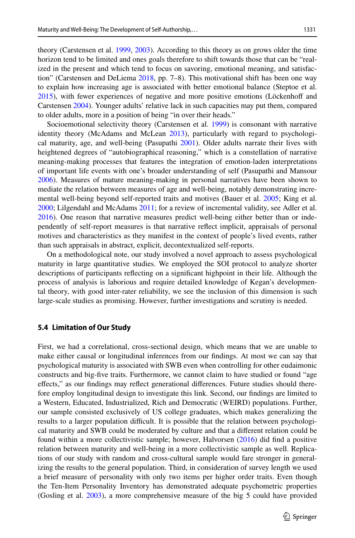theory (Carstensen et al. [1999,](#page-24-18) [2003\)](#page-24-19). According to this theory as on grows older the time horizon tend to be limited and ones goals therefore to shift towards those that can be "realized in the present and which tend to focus on savoring, emotional meaning, and satisfaction" (Carstensen and DeLiema [2018,](#page-24-20) pp. 7–8). This motivational shift has been one way to explain how increasing age is associated with better emotional balance (Steptoe et al. [2015\)](#page-27-21), with fewer experiences of negative and more positive emotions (Löckenhof and Carstensen [2004\)](#page-26-22). Younger adults' relative lack in such capacities may put them, compared to older adults, more in a position of being "in over their heads."

Socioemotional selectivity theory (Carstensen et al. [1999\)](#page-24-18) is consonant with narrative identity theory (McAdams and McLean [2013\)](#page-26-23), particularly with regard to psychological maturity, age, and well-being (Pasupathi [2001](#page-26-24)). Older adults narrate their lives with heightened degrees of "autobiographical reasoning," which is a constellation of narrative meaning-making processes that features the integration of emotion-laden interpretations of important life events with one's broader understanding of self (Pasupathi and Mansour [2006\)](#page-26-25). Measures of mature meaning-making in personal narratives have been shown to mediate the relation between measures of age and well-being, notably demonstrating incremental well-being beyond self-reported traits and motives (Bauer et al. [2005](#page-24-0); King et al. [2000;](#page-26-0) Lilgendahl and McAdams [2011;](#page-26-13) for a review of incremental validity, see Adler et al. [2016\)](#page-24-17). One reason that narrative measures predict well-being either better than or independently of self-report measures is that narrative refect implicit, appraisals of personal motives and characteristics as they manifest in the context of people's lived events, rather than such appraisals in abstract, explicit, decontextualized self-reports.

On a methodological note, our study involved a novel approach to assess psychological maturity in large quantitative studies. We employed the SOI protocol to analyze shorter descriptions of participants refecting on a signifcant highpoint in their life. Although the process of analysis is laborious and require detailed knowledge of Kegan's developmental theory, with good inter-rater reliability, we see the inclusion of this dimension is such large-scale studies as promising. However, further investigations and scrutiny is needed.

#### **5.4 Limitation of Our Study**

First, we had a correlational, cross-sectional design, which means that we are unable to make either causal or longitudinal inferences from our fndings. At most we can say that psychological maturity is associated with SWB even when controlling for other eudaimonic constructs and big-fve traits. Furthermore, we cannot claim to have studied or found "age efects," as our fndings may refect generational diferences. Future studies should therefore employ longitudinal design to investigate this link. Second, our fndings are limited to a Western, Educated, Industrialized, Rich and Democratic (WEIRD) populations. Further, our sample consisted exclusively of US college graduates, which makes generalizing the results to a larger population difficult. It is possible that the relation between psychological maturity and SWB could be moderated by culture and that a diferent relation could be found within a more collectivistic sample; however, Halvorsen [\(2016](#page-25-23)) did fnd a positive relation between maturity and well-being in a more collectivistic sample as well. Replications of our study with random and cross-cultural sample would fare stronger in generalizing the results to the general population. Third, in consideration of survey length we used a brief measure of personality with only two items per higher order traits. Even though the Ten-Item Personality Inventory has demonstrated adequate psychometric properties (Gosling et al. [2003\)](#page-25-17), a more comprehensive measure of the big 5 could have provided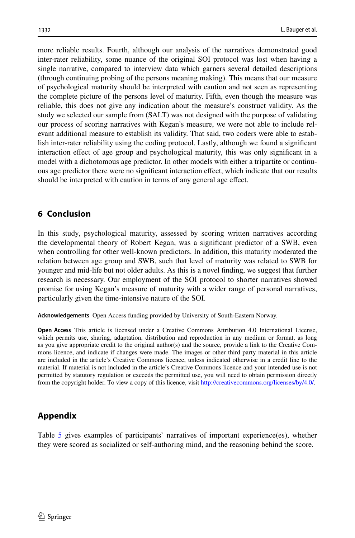more reliable results. Fourth, although our analysis of the narratives demonstrated good inter-rater reliability, some nuance of the original SOI protocol was lost when having a single narrative, compared to interview data which garners several detailed descriptions (through continuing probing of the persons meaning making). This means that our measure of psychological maturity should be interpreted with caution and not seen as representing the complete picture of the persons level of maturity. Fifth, even though the measure was reliable, this does not give any indication about the measure's construct validity. As the study we selected our sample from (SALT) was not designed with the purpose of validating our process of scoring narratives with Kegan's measure, we were not able to include relevant additional measure to establish its validity. That said, two coders were able to establish inter-rater reliability using the coding protocol. Lastly, although we found a signifcant interaction efect of age group and psychological maturity, this was only signifcant in a model with a dichotomous age predictor. In other models with either a tripartite or continuous age predictor there were no signifcant interaction efect, which indicate that our results should be interpreted with caution in terms of any general age efect.

# **6 Conclusion**

In this study, psychological maturity, assessed by scoring written narratives according the developmental theory of Robert Kegan, was a signifcant predictor of a SWB, even when controlling for other well-known predictors. In addition, this maturity moderated the relation between age group and SWB, such that level of maturity was related to SWB for younger and mid-life but not older adults. As this is a novel fnding, we suggest that further research is necessary. Our employment of the SOI protocol to shorter narratives showed promise for using Kegan's measure of maturity with a wider range of personal narratives, particularly given the time-intensive nature of the SOI.

**Acknowledgements** Open Access funding provided by University of South-Eastern Norway.

**Open Access** This article is licensed under a Creative Commons Attribution 4.0 International License, which permits use, sharing, adaptation, distribution and reproduction in any medium or format, as long as you give appropriate credit to the original author(s) and the source, provide a link to the Creative Commons licence, and indicate if changes were made. The images or other third party material in this article are included in the article's Creative Commons licence, unless indicated otherwise in a credit line to the material. If material is not included in the article's Creative Commons licence and your intended use is not permitted by statutory regulation or exceeds the permitted use, you will need to obtain permission directly from the copyright holder. To view a copy of this licence, visit [http://creativecommons.org/licenses/by/4.0/.](http://creativecommons.org/licenses/by/4.0/)

# **Appendix**

Table [5](#page-20-0) gives examples of participants' narratives of important experience(es), whether they were scored as socialized or self-authoring mind, and the reasoning behind the score.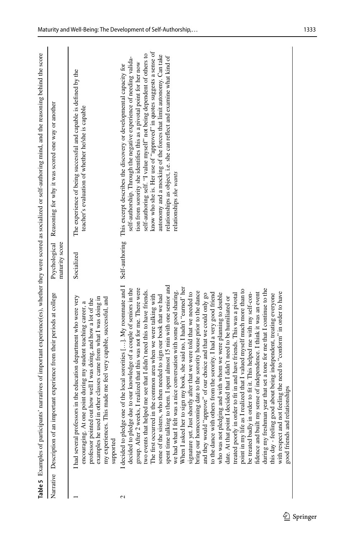<span id="page-20-0"></span>

|   | Table 5 Examples of participants' narratives of important experience(es), whether they were scored as socialized or self-authoring mind, and the reasoning behind the score                                                                                                                                                                                                                                                                                                                                                                                                                                                                                                                                                                                                                                                                                                                                                                                                                                                                                                                                                                                                                                                                                                                                                                                                                                                                                                                                                                                                                                                                                                    |                |                                                                                                                                                                                                                                                                                                                                                                                                                                                                                                                                                 |
|---|--------------------------------------------------------------------------------------------------------------------------------------------------------------------------------------------------------------------------------------------------------------------------------------------------------------------------------------------------------------------------------------------------------------------------------------------------------------------------------------------------------------------------------------------------------------------------------------------------------------------------------------------------------------------------------------------------------------------------------------------------------------------------------------------------------------------------------------------------------------------------------------------------------------------------------------------------------------------------------------------------------------------------------------------------------------------------------------------------------------------------------------------------------------------------------------------------------------------------------------------------------------------------------------------------------------------------------------------------------------------------------------------------------------------------------------------------------------------------------------------------------------------------------------------------------------------------------------------------------------------------------------------------------------------------------|----------------|-------------------------------------------------------------------------------------------------------------------------------------------------------------------------------------------------------------------------------------------------------------------------------------------------------------------------------------------------------------------------------------------------------------------------------------------------------------------------------------------------------------------------------------------------|
|   | tant experience from their periods at college<br>Narrative Description of an impor                                                                                                                                                                                                                                                                                                                                                                                                                                                                                                                                                                                                                                                                                                                                                                                                                                                                                                                                                                                                                                                                                                                                                                                                                                                                                                                                                                                                                                                                                                                                                                                             | maturity score | Psychological Reasoning for why it was scored one way or another                                                                                                                                                                                                                                                                                                                                                                                                                                                                                |
|   | in the education department who were very<br>examples he used in other classes came from what I was doing in<br>my experiences. This made me feel very capable, successful, and<br>professor pointed out how well I was doing, and how a lot of the<br>encouraging. At one point during my student teaching career, a<br>I had several professors<br>supported                                                                                                                                                                                                                                                                                                                                                                                                                                                                                                                                                                                                                                                                                                                                                                                                                                                                                                                                                                                                                                                                                                                                                                                                                                                                                                                 | Socialized     | The experience of being successful and capable is defined by the<br>teacher's evaluation of whether he/she is capable                                                                                                                                                                                                                                                                                                                                                                                                                           |
| 2 | I decided to pledge one of the local sororities []. My roommate and I<br>spent time talking to them. I spent almost 15 min with one senior and<br>When I asked her to sign my book, she said no, I hadn't "earned" her<br>decided to pledge due to our knowledge of a couple of seniors in the<br>I realized that this was not for me. There were<br>during my freshman year that set a tone for me that I continue to the<br>point in my life as I realized that I valued myself much more than to<br>we had what I felt was a nice conversation with some good sharing.<br>me see that I didn't need this to have friends.<br>bring our homecoming date to the sorority house prior to the dance<br>signature yet. Just shortly after that we were told that we needed to<br>be treated badly in order to fit it. This helped me with my self-con-<br>fidence and built my sense of independence. I think it was an event<br>to the dance with others from the sorority. I had a very good friend<br>with respect and not feeling the need to "conform" in order to have<br>and with whom we were planning to double<br>and they would "approve" of our choice and that we could only go<br>treated poorly in order to fit in and have friends. This was a pivotal<br>about being independent, treating everyone<br>The first occurred in the common area when we were talking with<br>some of the sisters, who then needed to sign our book that we had<br>date. At that point I decided that I didn't need to be humiliated or<br>onships<br>group. After 2 weeks,<br>this day - feeling good<br>good friends and relati<br>who was not pledging<br>two events that helped | Self-authoring | know who she is. Her use of "approved" in quotes suggests a sense of<br>self-authoring self. "I value myself" not being dependent of others to<br>autonomy and a mocking of the forces that limit autonomy. Can take<br>relationships as object, i.e. she can reflect and examine what kind of<br>self-authorship. Through the negative experience of needing valida-<br>tion from sorority she identifies this as a pivotal point for her now<br>This excerpt describes the discovery or developmental capacity for<br>relationships she wants |
|   |                                                                                                                                                                                                                                                                                                                                                                                                                                                                                                                                                                                                                                                                                                                                                                                                                                                                                                                                                                                                                                                                                                                                                                                                                                                                                                                                                                                                                                                                                                                                                                                                                                                                                |                |                                                                                                                                                                                                                                                                                                                                                                                                                                                                                                                                                 |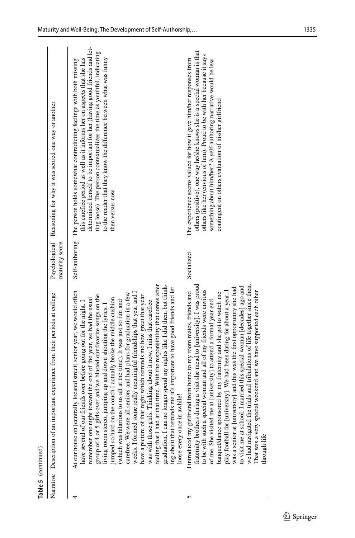| Table 5 (continued) |                                                                                                                                                                                                                                                                                                                                                                                                                                                                                                                                                                                                                                                                                                                                                                                                                                                                                                                                                                                                                                                                          |                |                                                                                                                                                                                                                                                                                                                                                                                              |
|---------------------|--------------------------------------------------------------------------------------------------------------------------------------------------------------------------------------------------------------------------------------------------------------------------------------------------------------------------------------------------------------------------------------------------------------------------------------------------------------------------------------------------------------------------------------------------------------------------------------------------------------------------------------------------------------------------------------------------------------------------------------------------------------------------------------------------------------------------------------------------------------------------------------------------------------------------------------------------------------------------------------------------------------------------------------------------------------------------|----------------|----------------------------------------------------------------------------------------------------------------------------------------------------------------------------------------------------------------------------------------------------------------------------------------------------------------------------------------------------------------------------------------------|
|                     | Narrative Description of an important experience from their periods at college                                                                                                                                                                                                                                                                                                                                                                                                                                                                                                                                                                                                                                                                                                                                                                                                                                                                                                                                                                                           | maturity score | Psychological Reasoning for why it was scored one way or another                                                                                                                                                                                                                                                                                                                             |
|                     | feeling that I had at that time. With the responsibility that comes after<br>onger spend my nights like I did then, but think-<br>ing about that reminds me it's important to have good friends and let<br>At our house on [centrally located street] senior year, we would often<br>weeks. I formed some really meaningful friendships that year and I<br>seniors and had plans for graduation in a few<br>group of 4 or 5 girls over and we blasted our favorite songs on the<br>have a picture of that night which reminds me how great that year<br>remember one night toward the end of the year, we had the usual<br>jumped so hard on the couch I actually broke the middle cushion<br>(which was hilarious to us all at the time). It was just so fun and<br>Thinking about it now, I miss that carefree<br>ends over before going out for the night. I<br>living room stereo, jumping up and down shouting the lyrics. I<br>loose every once in awhile!<br>have several of our fri<br>carefree. We were all<br>was with those girls.<br>graduation, I can no le | Self-authoring | determined herself to be important for her (having good friends and let-<br>ting loose). The person contextualizes the time as youthful, indicating<br>to the reader that they know the difference between what was funny<br>this carefree period as well as it informs her on aspects that she has<br>The person holds somewhat contradicting feelings with both missing<br>then versus now |
| 5                   | fraternity brothers during a visit she mead to [university]. I was proud<br>trials and tribulations of life together since then.<br>I married this special woman [decades] ago and<br>play football for [university]. We had been dating for about a year, I was a senior at [university] and this was the first opportunity she had<br>to be with such a special woman and all of my friends were envious<br>I introduced my girlfriend from home to my room mates, friends and<br>That was a very special weekend and we have supported each other<br>banquet/dance sponsored by my fraternity and she got to watch me<br>of me. She visited me at [university] to attend a formal year end<br>to visit me at school. I<br>we had navigated the<br>through life                                                                                                                                                                                                                                                                                                        | Socialized     | others (positive), one way he/she knows she is a special woman is that<br>others like her (envious of him). Proud to be with her because it says<br>The experience seems valued for how it gave him/her responses from<br>something about him/her? A self-authoring narrative would be less<br>contingent on others evaluation of his/her girlfriend                                         |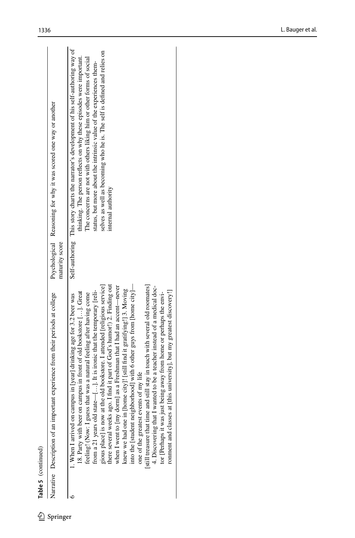| I      |
|--------|
|        |
| ٦<br>Ξ |

| Narrative Description of an important experience from their periods at college                                                                                                                                                                                                                                                                                                                                                                                                                                                                                                                                                                                                                                                                                                                                                                                                                                                                                                                                                 | maturity score | Psychological Reasoning for why it was scored one way or another                                                                                                                                                                                                                                                                                                                                                |
|--------------------------------------------------------------------------------------------------------------------------------------------------------------------------------------------------------------------------------------------------------------------------------------------------------------------------------------------------------------------------------------------------------------------------------------------------------------------------------------------------------------------------------------------------------------------------------------------------------------------------------------------------------------------------------------------------------------------------------------------------------------------------------------------------------------------------------------------------------------------------------------------------------------------------------------------------------------------------------------------------------------------------------|----------------|-----------------------------------------------------------------------------------------------------------------------------------------------------------------------------------------------------------------------------------------------------------------------------------------------------------------------------------------------------------------------------------------------------------------|
| there several weeks ago. I find it part of God's humor!) 2. Finding out<br>gious place] is now at the old bookstore. I attended [religious service]<br>[still treasure that time and still stay in touch with several old roomates]<br>into the [student neighborhood] with 6 other guys from [home city]—<br>when I went to [my dorm] as a Freshman that I had an accent-never<br>4. Discovering that I wanted to be a teacher instead of a medical doc-<br>knew we had one in [home city]! [still find it gratifying!] 3. Moving<br>ronment and classes at [this university], but my greatest discovery!]<br>from a 21 years old state—[ $\dots$ ]. It is ironic that the temporary [reli-<br>18. Party with beer on campus in front of old bookstore []. Great<br>tor [Perhaps it was just being away from home or perhaps the envi-<br>feeling! (Now: I guess that was a natural feeling after having come<br>1. When I arrived on campus in [year] drinking age for 3.2 beer was<br>one of the greatest events of my life |                | Self-authoring This story charts the narrator's development of his self-authoring way of<br>selves as well as becoming who he is. The self is defined and relies on<br>thinking. The person reflects on why these episodes were important.<br>The concerns are not with others liking him or other forms of social<br>status, but more about the intrinsic value of the experiences them-<br>internal authority |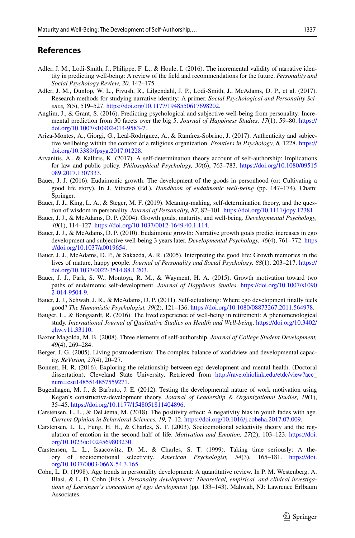### **References**

- <span id="page-24-17"></span>Adler, J. M., Lodi-Smith, J., Philippe, F. L., & Houle, I. (2016). The incremental validity of narrative identity in predicting well-being: A review of the feld and recommendations for the future. *Personality and Social Psychology Review, 20,* 142–175.
- <span id="page-24-12"></span>Adler, J. M., Dunlop, W. L., Fivush, R., Lilgendahl, J. P., Lodi-Smith, J., McAdams, D. P., et al. (2017). Research methods for studying narrative identity: A primer. *Social Psychological and Personality Science, 8*(5), 519–527. <https://doi.org/10.1177/1948550617698202>.
- <span id="page-24-11"></span>Anglim, J., & Grant, S. (2016). Predicting psychological and subjective well-being from personality: Incremental prediction from 30 facets over the big 5. *Journal of Happiness Studies, 17*(1), 59–80. [https://](https://doi.org/10.1007/s10902-014-9583-7) [doi.org/10.1007/s10902-014-9583-7](https://doi.org/10.1007/s10902-014-9583-7).
- <span id="page-24-16"></span>Ariza-Montes, A., Giorgi, G., Leal-Rodríguez, A., & Ramírez-Sobrino, J. (2017). Authenticity and subjective wellbeing within the context of a religious organization. *Frontiers in Psychology, 8,* 1228. [https://](https://doi.org/10.3389/fpsyg.2017.01228) [doi.org/10.3389/fpsyg.2017.01228.](https://doi.org/10.3389/fpsyg.2017.01228)
- <span id="page-24-14"></span>Arvanitis, A., & Kalliris, K. (2017). A self-determination theory account of self-authorship: Implications for law and public policy. *Philosophical Psychology, 30*(6), 763–783. [https://doi.org/10.1080/09515](https://doi.org/10.1080/09515089.2017.1307333) [089.2017.1307333.](https://doi.org/10.1080/09515089.2017.1307333)
- <span id="page-24-9"></span>Bauer, J. J. (2016). Eudaimonic growth: The development of the goods in personhood (or: Cultivating a good life story). In J. Vittersø (Ed.), *Handbook of eudaimonic well-being* (pp. 147–174). Cham: Springer.
- <span id="page-24-1"></span>Bauer, J. J., King, L. A., & Steger, M. F. (2019). Meaning-making, self-determination theory, and the question of wisdom in personality. *Journal of Personality, 87,* 82–101. [https://doi.org/10.1111/jopy.12381.](https://doi.org/10.1111/jopy.12381)
- <span id="page-24-13"></span>Bauer, J. J., & McAdams, D. P. (2004). Growth goals, maturity, and well-being. *Developmental Psychology, 40*(1), 114–127.<https://doi.org/10.1037/0012-1649.40.1.114>.
- <span id="page-24-10"></span>Bauer, J. J., & McAdams, D. P. (2010). Eudaimonic growth: Narrative growth goals predict increases in ego development and subjective well-being 3 years later. *Developmental Psychology, 46*(4), 761–772. [https](https://doi.org/10.1037/a0019654) [://doi.org/10.1037/a0019654](https://doi.org/10.1037/a0019654).
- <span id="page-24-0"></span>Bauer, J. J., McAdams, D. P., & Sakaeda, A. R. (2005). Interpreting the good life: Growth memories in the lives of mature, happy people. *Journal of Personality and Social Psychology, 88*(1), 203–217. [https://](https://doi.org/10.1037/0022-3514.88.1.203) [doi.org/10.1037/0022-3514.88.1.203.](https://doi.org/10.1037/0022-3514.88.1.203)
- <span id="page-24-2"></span>Bauer, J. J., Park, S. W., Montoya, R. M., & Wayment, H. A. (2015). Growth motivation toward two paths of eudaimonic self-development. *Journal of Happiness Studies*. [https://doi.org/10.1007/s1090](https://doi.org/10.1007/s10902-014-9504-9) [2-014-9504-9.](https://doi.org/10.1007/s10902-014-9504-9)
- <span id="page-24-15"></span>Bauer, J. J., Schwab, J. R., & McAdams, D. P. (2011). Self-actualizing: Where ego development fnally feels good? *The Humanistic Psychologist, 39*(2), 121–136. [https://doi.org/10.1080/08873267.2011.564978.](https://doi.org/10.1080/08873267.2011.564978)
- <span id="page-24-6"></span>Bauger, L., & Bongaardt, R. (2016). The lived experience of well-being in retirement: A phenomenological study. *International Journal of Qualitative Studies on Health and Well-being*. [https://doi.org/10.3402/](https://doi.org/10.3402/qhw.v11.33110) [qhw.v11.33110](https://doi.org/10.3402/qhw.v11.33110).
- <span id="page-24-5"></span>Baxter Magolda, M. B. (2008). Three elements of self-authorship. *Journal of College Student Development, 49*(4), 269–284.
- <span id="page-24-4"></span>Berger, J. G. (2005). Living postmodernism: The complex balance of worldview and developmental capacity. *ReVision, 27*(4), 20–27.
- <span id="page-24-3"></span>Bonnett, H. R. (2016). Exploring the relationship between ego development and mental health. (Doctoral dissertation), Cleveland State University, Retrieved from [http://rave.ohiolink.edu/etdc/view?acc\\_](http://rave.ohiolink.edu/etdc/view?acc_num=csu1485514857559271) [num=csu1485514857559271](http://rave.ohiolink.edu/etdc/view?acc_num=csu1485514857559271).
- <span id="page-24-7"></span>Bugenhagen, M. J., & Barbuto, J. E. (2012). Testing the developmental nature of work motivation using Kegan's constructive-development theory. *Journal of Leadership & Organizational Studies, 19*(1), 35–45. <https://doi.org/10.1177/1548051811404896>.
- <span id="page-24-20"></span>Carstensen, L. L., & DeLiema, M. (2018). The positivity efect: A negativity bias in youth fades with age. *Current Opinion in Behavioral Sciences, 19,* 7–12. [https://doi.org/10.1016/j.cobeha.2017.07.009.](https://doi.org/10.1016/j.cobeha.2017.07.009)
- <span id="page-24-19"></span>Carstensen, L. L., Fung, H. H., & Charles, S. T. (2003). Socioemotional selectivity theory and the regulation of emotion in the second half of life. *Motivation and Emotion, 27*(2), 103–123. [https://doi.](https://doi.org/10.1023/a:1024569803230) [org/10.1023/a:1024569803230.](https://doi.org/10.1023/a:1024569803230)
- <span id="page-24-18"></span>Carstensen, L. L., Isaacowitz, D. M., & Charles, S. T. (1999). Taking time seriously: A theory of socioemotional selectivity. *American Psychologist, 54*(3), 165–181. [https://doi.](https://doi.org/10.1037/0003-066X.54.3.165) [org/10.1037/0003-066X.54.3.165](https://doi.org/10.1037/0003-066X.54.3.165).
- <span id="page-24-8"></span>Cohn, L. D. (1998). Age trends in personality development: A quantitative review. In P. M. Westenberg, A. Blasi, & L. D. Cohn (Eds.), *Personality development: Theoretical, empirical, and clinical investigations of Loevinger's conception of ego development* (pp. 133–143). Mahwah, NJ: Lawrence Erlbaum Associates.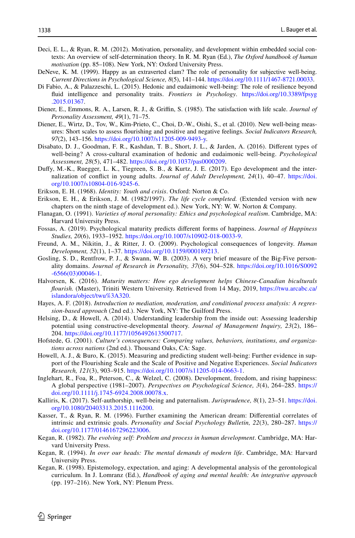- <span id="page-25-1"></span>Deci, E. L., & Ryan, R. M. (2012). Motivation, personality, and development within embedded social contexts: An overview of self-determination theory. In R. M. Ryan (Ed.), *The Oxford handbook of human motivation* (pp. 85–108). New York, NY: Oxford University Press.
- <span id="page-25-12"></span>DeNeve, K. M. (1999). Happy as an extraverted clam? The role of personality for subjective well-being. *Current Directions in Psychological Science, 8*(5), 141–144. [https://doi.org/10.1111/1467-8721.00033.](https://doi.org/10.1111/1467-8721.00033)
- <span id="page-25-11"></span>Di Fabio, A., & Palazzeschi, L. (2015). Hedonic and eudaimonic well-being: The role of resilience beyond fuid intelligence and personality traits. *Frontiers in Psychology*. [https://doi.org/10.3389/fpsyg](https://doi.org/10.3389/fpsyg.2015.01367) [.2015.01367.](https://doi.org/10.3389/fpsyg.2015.01367)
- <span id="page-25-13"></span>Diener, E., Emmons, R. A., Larsen, R. J., & Griffin, S. (1985). The satisfaction with life scale. *Journal of Personality Assessment, 49*(1), 71–75.
- <span id="page-25-14"></span>Diener, E., Wirtz, D., Tov, W., Kim-Prieto, C., Choi, D.-W., Oishi, S., et al. (2010). New well-being measures: Short scales to assess fourishing and positive and negative feelings. *Social Indicators Research, 97*(2), 143–156.<https://doi.org/10.1007/s11205-009-9493-y>.
- <span id="page-25-16"></span>Disabato, D. J., Goodman, F. R., Kashdan, T. B., Short, J. L., & Jarden, A. (2016). Diferent types of well-being? A cross-cultural examination of hedonic and eudaimonic well-being. *Psychological Assessment, 28*(5), 471–482. [https://doi.org/10.1037/pas0000209.](https://doi.org/10.1037/pas0000209)
- <span id="page-25-7"></span>Dufy, M.-K., Ruegger, L. K., Tiegreen, S. B., & Kurtz, J. E. (2017). Ego development and the internalization of confict in young adults. *Journal of Adult Development, 24*(1), 40–47. [https://doi.](https://doi.org/10.1007/s10804-016-9245-6) [org/10.1007/s10804-016-9245-6](https://doi.org/10.1007/s10804-016-9245-6).
- <span id="page-25-9"></span>Erikson, E. H. (1968). *Identity: Youth and crisis*. Oxford: Norton & Co.
- <span id="page-25-5"></span>Erikson, E. H., & Erikson, J. M. (1982/1997). *The life cycle completed.* (Extended version with new chapters on the ninth stage of development ed.). New York, NY: W. W. Norton & Company.
- <span id="page-25-0"></span>Flanagan, O. (1991). *Varieties of moral personality: Ethics and psychological realism*. Cambridge, MA: Harvard University Press.
- <span id="page-25-6"></span>Fossas, A. (2019). Psychological maturity predicts diferent forms of happiness. *Journal of Happiness Studies, 20*(6), 1933–1952.<https://doi.org/10.1007/s10902-018-0033-9>.
- <span id="page-25-10"></span>Freund, A. M., Nikitin, J., & Ritter, J. O. (2009). Psychological consequences of longevity. *Human Development, 52*(1), 1–37. <https://doi.org/10.1159/000189213>.
- <span id="page-25-17"></span>Gosling, S. D., Rentfrow, P. J., & Swann, W. B. (2003). A very brief measure of the Big-Five personality domains. *Journal of Research in Personality, 37*(6), 504–528. [https://doi.org/10.1016/S0092](https://doi.org/10.1016/S0092-6566(03)00046-1) [-6566\(03\)00046-1](https://doi.org/10.1016/S0092-6566(03)00046-1).
- <span id="page-25-23"></span>Halvorsen, K. (2016). *Maturity matters: How ego development helps Chinese*-*Canadian biculturals fourish.* (Master), Triniti Western University. Retrieved from 14 May, 2019, [https://twu.arcabc.ca/](https://twu.arcabc.ca/islandora/object/twu%3A320) [islandora/object/twu%3A320.](https://twu.arcabc.ca/islandora/object/twu%3A320)
- <span id="page-25-18"></span>Hayes, A. F. (2018). *Introduction to mediation, moderation, and conditional process analysis: A regression-based approach* (2nd ed.). New York, NY: The Guilford Press.
- <span id="page-25-8"></span>Helsing, D., & Howell, A. (2014). Understanding leadership from the inside out: Assessing leadership potential using constructive-developmental theory. *Journal of Management Inquiry, 23*(2), 186– 204.<https://doi.org/10.1177/1056492613500717>.
- <span id="page-25-20"></span>Hofstede, G. (2001). *Culture's consequences: Comparing values, behaviors, institutions, and organizations across nations* (2nd ed.). Thousand Oaks, CA: Sage.
- <span id="page-25-15"></span>Howell, A. J., & Buro, K. (2015). Measuring and predicting student well-being: Further evidence in support of the Flourishing Scale and the Scale of Positive and Negative Experiences. *Social Indicators Research, 121*(3), 903–915. [https://doi.org/10.1007/s11205-014-0663-1.](https://doi.org/10.1007/s11205-014-0663-1)
- <span id="page-25-21"></span>Inglehart, R., Foa, R., Peterson, C., & Welzel, C. (2008). Development, freedom, and rising happiness: A global perspective (1981–2007). *Perspectives on Psychological Science, 3*(4), 264–285. [https://](https://doi.org/10.1111/j.1745-6924.2008.00078.x) [doi.org/10.1111/j.1745-6924.2008.00078.x](https://doi.org/10.1111/j.1745-6924.2008.00078.x).
- <span id="page-25-19"></span>Kalliris, K. (2017). Self-authorship, well-being and paternalism. *Jurisprudence, 8*(1), 23–51. [https://doi.](https://doi.org/10.1080/20403313.2015.1116200) [org/10.1080/20403313.2015.1116200](https://doi.org/10.1080/20403313.2015.1116200).
- <span id="page-25-2"></span>Kasser, T., & Ryan, R. M. (1996). Further examining the American dream: Diferential correlates of intrinsic and extrinsic goals. *Personality and Social Psychology Bulletin, 22*(3), 280–287. [https://](https://doi.org/10.1177/0146167296223006) [doi.org/10.1177/0146167296223006.](https://doi.org/10.1177/0146167296223006)
- <span id="page-25-3"></span>Kegan, R. (1982). *The evolving self: Problem and process in human development*. Cambridge, MA: Harvard University Press.
- <span id="page-25-4"></span>Kegan, R. (1994). *In over our heads: The mental demands of modern life*. Cambridge, MA: Harvard University Press.
- <span id="page-25-22"></span>Kegan, R. (1998). Epistemology, expectation, and aging: A developmental analysis of the gerontological curriculum. In J. Lomranz (Ed.), *Handbook of aging and mental health: An integrative approach* (pp. 197–216). New York, NY: Plenum Press.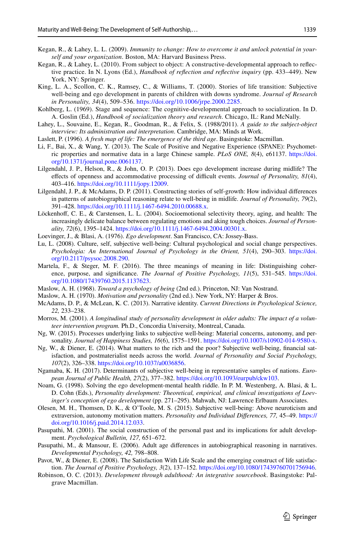- <span id="page-26-6"></span>Kegan, R., & Lahey, L. L. (2009). *Immunity to change: How to overcome it and unlock potential in yourself and your organization*. Boston, MA: Harvard Business Press.
- <span id="page-26-7"></span>Kegan, R., & Lahey, L. (2010). From subject to object: A constructive-developmental approach to refective practice. In N. Lyons (Ed.), *Handbook of refection and refective inquiry* (pp. 433–449). New York, NY: Springer.
- <span id="page-26-0"></span>King, L. A., Scollon, C. K., Ramsey, C., & Williams, T. (2000). Stories of life transition: Subjective well-being and ego development in parents of children with downs syndrome. *Journal of Research in Personality, 34*(4), 509–536. <https://doi.org/10.1006/jrpe.2000.2285>.
- <span id="page-26-4"></span>Kohlberg, L. (1969). Stage and sequence: The cognitive-developmental approach to socialization. In D. A. Goslin (Ed.), *Handbook of socialization theory and research*. Chicago, IL: Rand McNally.
- <span id="page-26-16"></span>Lahey, L., Souvaine, E., Kegan, R., Goodman, R., & Felix, S. (1988/2011). *A guide to the subject*-*object interview: Its administration and interpretation*. Cambridge, MA: Minds at Work.
- <span id="page-26-8"></span>Laslett, P. (1996). *A fresh map of life: The emergence of the third age*. Basingstoke: Macmillan.
- <span id="page-26-15"></span>Li, F., Bai, X., & Wang, Y. (2013). The Scale of Positive and Negative Experience (SPANE): Psychometric properties and normative data in a large Chinese sample. *PLoS ONE, 8*(4), e61137. [https://doi.](https://doi.org/10.1371/journal.pone.0061137) [org/10.1371/journal.pone.0061137](https://doi.org/10.1371/journal.pone.0061137).
- <span id="page-26-11"></span>Lilgendahl, J. P., Helson, R., & John, O. P. (2013). Does ego development increase during midlife? The efects of openness and accommodative processing of difcult events. *Journal of Personality, 81*(4), 403–416. [https://doi.org/10.1111/jopy.12009.](https://doi.org/10.1111/jopy.12009)
- <span id="page-26-13"></span>Lilgendahl, J. P., & McAdams, D. P. (2011). Constructing stories of self-growth: How individual diferences in patterns of autobiographical reasoning relate to well-being in midlife. *Journal of Personality, 79*(2), 391–428. <https://doi.org/10.1111/j.1467-6494.2010.00688.x>.
- <span id="page-26-22"></span>Löckenhof, C. E., & Carstensen, L. L. (2004). Socioemotional selectivity theory, aging, and health: The increasingly delicate balance between regulating emotions and aking tough choices. *Journal of Personality, 72*(6), 1395–1424. [https://doi.org/10.1111/j.1467-6494.2004.00301.x.](https://doi.org/10.1111/j.1467-6494.2004.00301.x)
- <span id="page-26-3"></span>Loevinger, J., & Blasi, A. (1976). *Ego development*. San Francisco, CA: Jossey-Bass.
- <span id="page-26-17"></span>Lu, L. (2008). Culture, self, subjective well-being: Cultural psychological and social change perspectives. *Psychologia: An International Journal of Psychology in the Orient, 51*(4), 290–303. [https://doi.](https://doi.org/10.2117/psysoc.2008.290) [org/10.2117/psysoc.2008.290](https://doi.org/10.2117/psysoc.2008.290).
- <span id="page-26-12"></span>Martela, F., & Steger, M. F. (2016). The three meanings of meaning in life: Distinguishing coherence, purpose, and signifcance. *The Journal of Positive Psychology, 11*(5), 531–545. [https://doi.](https://doi.org/10.1080/17439760.2015.1137623) [org/10.1080/17439760.2015.1137623.](https://doi.org/10.1080/17439760.2015.1137623)
- <span id="page-26-1"></span>Maslow, A. H. (1968). *Toward a psychology of being* (2nd ed.). Princeton, NJ: Van Nostrand.
- <span id="page-26-2"></span>Maslow, A. H. (1970). *Motivation and personality* (2nd ed.). New York, NY: Harper & Bros.
- <span id="page-26-23"></span>McAdams, D. P., & McLean, K. C. (2013). Narrative identity. *Current Directions in Psychological Science, 22,* 233–238.
- <span id="page-26-10"></span>Morros, M. (2001). *A longitudinal study of personality development in older adults: The impact of a volunteer intervention program.* Ph.D., Concordia University, Montreal, Canada.
- <span id="page-26-18"></span>Ng, W. (2015). Processes underlying links to subjective well-being: Material concerns, autonomy, and personality. *Journal of Happiness Studies, 16*(6), 1575–1591. [https://doi.org/10.1007/s10902-014-9580-x.](https://doi.org/10.1007/s10902-014-9580-x)
- <span id="page-26-19"></span>Ng, W., & Diener, E. (2014). What matters to the rich and the poor? Subjective well-being, fnancial satisfaction, and postmaterialist needs across the world. *Journal of Personality and Social Psychology, 107*(2), 326–338.<https://doi.org/10.1037/a0036856>.
- <span id="page-26-20"></span>Ngamaba, K. H. (2017). Determinants of subjective well-being in representative samples of nations. *European Journal of Public Health, 27*(2), 377–382. [https://doi.org/10.1093/eurpub/ckw103.](https://doi.org/10.1093/eurpub/ckw103)
- <span id="page-26-5"></span>Noam, G. (1998). Solving the ego development-mental health riddle. In P. M. Westenberg, A. Blasi, & L. D. Cohn (Eds.), *Personality development: Theoretical, empirical, and clinical investigations of Loevinger's conception of ego development* (pp. 271–295). Mahwah, NJ: Lawrence Erlbaum Associates.
- <span id="page-26-21"></span>Olesen, M. H., Thomsen, D. K., & O'Toole, M. S. (2015). Subjective well-being: Above neuroticism and extraversion, autonomy motivation matters. *Personality and Individual Diferences, 77,* 45–49. [https://](https://doi.org/10.1016/j.paid.2014.12.033) [doi.org/10.1016/j.paid.2014.12.033](https://doi.org/10.1016/j.paid.2014.12.033).
- <span id="page-26-24"></span>Pasupathi, M. (2001). The social construction of the personal past and its implications for adult development. *Psychological Bulletin, 127,* 651–672.
- <span id="page-26-25"></span>Pasupathi, M., & Mansour, E. (2006). Adult age diferences in autobiographical reasoning in narratives. *Developmental Psychology, 42,* 798–808.
- <span id="page-26-14"></span>Pavot, W., & Diener, E. (2008). The Satisfaction With Life Scale and the emerging construct of life satisfaction. *The Journal of Positive Psychology, 3*(2), 137–152. [https://doi.org/10.1080/17439760701756946.](https://doi.org/10.1080/17439760701756946)
- <span id="page-26-9"></span>Robinson, O. C. (2013). *Development through adulthood: An integrative sourcebook*. Basingstoke: Palgrave Macmillan.